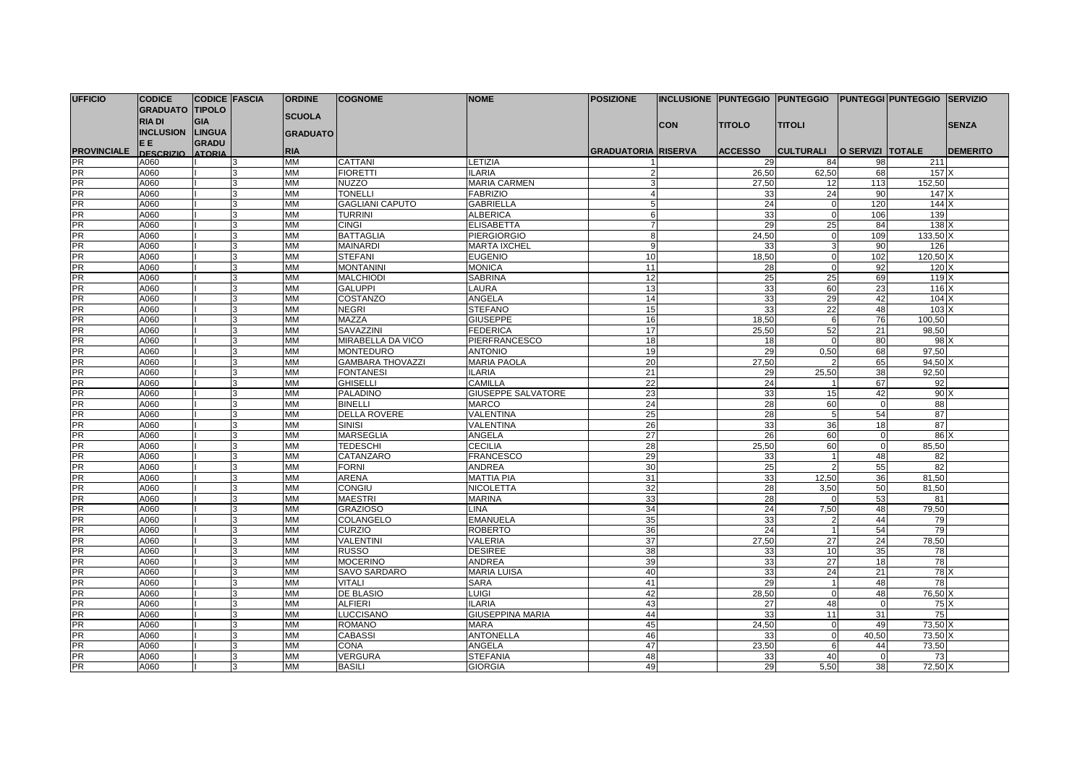| <b>UFFICIO</b>     | <b>CODICE</b>          | <b>CODICE FASCIA</b> |                | <b>ORDINE</b>   | <b>COGNOME</b>          | <b>NOME</b>               | <b>POSIZIONE</b>           |            |                | Inclusione  Punteggio  Punteggio  Punteggi Punteggio  Servizio |                         |                  |                 |
|--------------------|------------------------|----------------------|----------------|-----------------|-------------------------|---------------------------|----------------------------|------------|----------------|----------------------------------------------------------------|-------------------------|------------------|-----------------|
|                    | <b>GRADUATO TIPOLO</b> |                      |                |                 |                         |                           |                            |            |                |                                                                |                         |                  |                 |
|                    | <b>RIA DI</b>          | <b>GIA</b>           |                | <b>SCUOLA</b>   |                         |                           |                            |            |                |                                                                |                         |                  |                 |
|                    | INCLUSION LINGUA       |                      |                | <b>GRADUATO</b> |                         |                           |                            | <b>CON</b> | <b>TITOLO</b>  | <b>TITOLI</b>                                                  |                         |                  | <b>SENZA</b>    |
|                    | EE.                    | <b>GRADU</b>         |                |                 |                         |                           |                            |            |                |                                                                |                         |                  |                 |
| <b>PROVINCIALE</b> | <b>DESCRIZIO</b>       | <b>ATORIA</b>        |                | <b>RIA</b>      |                         |                           | <b>GRADUATORIA RISERVA</b> |            | <b>ACCESSO</b> | <b>CULTURALI</b>                                               | <b>O SERVIZI TOTALE</b> |                  | <b>DEMERITO</b> |
| PR                 | A060                   |                      | 3              | MM              | CATTANI                 | <b>ETIZIA</b>             |                            |            | 29             | 84                                                             | 98                      | 211              |                 |
| <b>PR</b>          | A060                   |                      | 3              | <b>MM</b>       | <b>FIORETTI</b>         | <b>ILARIA</b>             | $\mathcal{P}$              |            | 26,50          | 62,50                                                          | 68                      | 157 <sup>2</sup> |                 |
| PR                 | A060                   |                      | 3              | MM              | <b>NUZZO</b>            | <b>MARIA CARMEN</b>       | 3                          |            | 27,50          | 12                                                             | 113                     | 152,50           |                 |
| <b>PR</b>          | A060                   |                      | 3              | <b>MM</b>       | <b>TONELLI</b>          | <b>FABRIZIO</b>           | $\Delta$                   |            | 33             | 24                                                             | 90                      | $147 \times$     |                 |
| <b>PR</b>          | A060                   |                      | 3              | <b>MM</b>       | <b>GAGLIANI CAPUTO</b>  | GABRIELLA                 |                            |            | 24             | $\sqrt{ }$                                                     | 120                     | $144 \times$     |                 |
| <b>PR</b>          | A060                   |                      | 3              | <b>MM</b>       | <b>TURRINI</b>          | <b>ALBERICA</b>           | 6                          |            | 33             | $\Omega$                                                       | 106                     | 139              |                 |
| <b>PR</b>          | A060                   |                      | 3              | <b>MM</b>       | <b>CINGI</b>            | <b>ELISABETTA</b>         | $\overline{7}$             |            | 29             | 25                                                             | 84                      | $138$ $X$        |                 |
| <b>PR</b>          | A060                   |                      | l3             | <b>MM</b>       | <b>BATTAGLIA</b>        | <b>PIERGIORGIO</b>        | 8                          |            | 24,50          | $\Omega$                                                       | 109                     | 133,50 X         |                 |
| <b>PR</b>          | A060                   |                      | 3              | <b>MM</b>       | <b>MAINARDI</b>         | <b>MARTA IXCHEL</b>       | 9                          |            | 33             | 3                                                              | 90                      | 126              |                 |
| <b>PR</b>          | A060                   |                      | l3             | <b>MM</b>       | <b>STEFANI</b>          | <b>EUGENIO</b>            | 10                         |            | 18,50          | $\Omega$                                                       | 102                     | 120,50 X         |                 |
| <b>PR</b>          | A060                   |                      | 3              | <b>MM</b>       | <b>MONTANINI</b>        | <b>MONICA</b>             | 11                         |            | 28             | $\Omega$                                                       | 92                      | 120 <sub>x</sub> |                 |
| <b>PR</b>          | A060                   |                      | 3              | <b>MM</b>       | <b>MALCHIODI</b>        | <b>SABRINA</b>            | 12                         |            | 25             | 25                                                             | 69                      | 119 <sub>x</sub> |                 |
| <b>PR</b>          | A060                   |                      | 3              | <b>MM</b>       | <b>GALUPPI</b>          | LAURA                     | 13                         |            | 33             | 60                                                             | 23                      | 116X             |                 |
| <b>PR</b>          | A060                   |                      | 3              | MM              | COSTANZO                | ANGELA                    | 14                         |            | 33             | 29                                                             | 42                      | 104 <sub>x</sub> |                 |
| <b>PR</b>          | A060                   |                      | 3              | MM              | <b>NEGRI</b>            | <b>STEFANO</b>            | 15                         |            | 33             | $\overline{22}$                                                | 48                      | 103X             |                 |
| <b>PR</b>          | A060                   |                      | 3              | <b>MM</b>       | MAZZA                   | <b>GIUSEPPE</b>           | 16                         |            | 18,50          | 6                                                              | 76                      | 100,50           |                 |
| PR                 | A060                   |                      | 3              | <b>MM</b>       | SAVAZZINI               | <b>FEDERICA</b>           | 17                         |            | 25,50          | 52                                                             | 21                      | 98,50            |                 |
| <b>PR</b>          | A060                   |                      | 3              | MM              | MIRABELLA DA VICO       | <b>PIERFRANCESCO</b>      | 18                         |            | 18             | $\Omega$                                                       | 80                      | 98               |                 |
| <b>PR</b>          | A060                   |                      | 3              | <b>MM</b>       | <b>MONTEDURO</b>        | <b>ANTONIO</b>            | 19                         |            | 29             | 0,50                                                           | 68                      | 97,50            |                 |
| <b>PR</b>          | A060                   |                      | 3              | <b>MM</b>       | <b>GAMBARA THOVAZZI</b> | <b>MARIA PAOLA</b>        | 20                         |            | 27,50          | 2                                                              | 65                      | 94,50            |                 |
| <b>PR</b>          | A060                   |                      | 3              | <b>MM</b>       | <b>FONTANESI</b>        | <b>ILARIA</b>             | 21                         |            | 29             | 25.50                                                          | 38                      | 92,50            |                 |
| <b>PR</b>          | A060                   |                      | $\overline{3}$ | <b>MM</b>       | <b>GHISELLI</b>         | CAMILLA                   | 22                         |            | 24             |                                                                | 67                      | 92               |                 |
| <b>PR</b>          | A060                   |                      | 3              | <b>MM</b>       | <b>PALADINO</b>         | <b>GIUSEPPE SALVATORE</b> | 23                         |            | 33             | 15                                                             | 42                      | $90 \times$      |                 |
| <b>PR</b>          | A060                   |                      | 3              | <b>MM</b>       | <b>BINELLI</b>          | <b>MARCO</b>              | 24                         |            | 28             | 60                                                             | $\Omega$                | 88               |                 |
| <b>PR</b>          | A060                   |                      | 3              | <b>MM</b>       | <b>DELLA ROVERE</b>     | VALENTINA                 | 25                         |            | 28             | 5                                                              | 54                      | 87               |                 |
| <b>PR</b>          | A060                   |                      | 3              | <b>MM</b>       | <b>SINISI</b>           | VALENTINA                 | 26                         |            | 33             | 36                                                             | 18                      | 87               |                 |
| <b>PR</b>          | A060                   |                      | 3              | <b>MM</b>       | <b>MARSEGLIA</b>        | <b>ANGELA</b>             | $\overline{27}$            |            | 26             | 60                                                             | $\mathbf 0$             | 86               |                 |
| <b>PR</b>          | A060                   |                      | 3              | <b>MM</b>       | <b>TEDESCHI</b>         | <b>CECILIA</b>            | 28                         |            | 25,50          | 60                                                             | $\mathbf 0$             | 85.50            |                 |
| <b>PR</b>          | A060                   |                      | 3              | <b>MM</b>       | CATANZARO               | <b>FRANCESCO</b>          | 29                         |            | 33             |                                                                | 48                      | 82               |                 |
| <b>PR</b>          | A060                   |                      | 3              | <b>MM</b>       | <b>FORNI</b>            | <b>ANDREA</b>             | 30                         |            | 25             | $\mathcal{D}$                                                  | 55                      | 82               |                 |
| <b>PR</b>          | A060                   |                      | 3              | MM              | ARENA                   | <b>MATTIA PIA</b>         | 31                         |            | 33             | 12,50                                                          | 36                      | 81,50            |                 |
| <b>PR</b>          | A060                   |                      | 3              | <b>MM</b>       | <b>CONGIU</b>           | <b>NICOLETTA</b>          | 32                         |            | 28             | 3,50                                                           | 50                      | 81,50            |                 |
| <b>PR</b>          | A060                   |                      | 3              | <b>MM</b>       | <b>MAESTRI</b>          | <b>MARINA</b>             | 33                         |            | 28             |                                                                | 53                      | 81               |                 |
| <b>PR</b>          | A060                   |                      | 3              | <b>MM</b>       | <b>GRAZIOSO</b>         | LINA                      | 34                         |            | 24             | 7,50                                                           | 48                      | 79,50            |                 |
| <b>PR</b>          | A060                   |                      | 3              | MM              | COLANGELO               | <b>EMANUELA</b>           | 35                         |            | 33             | 2                                                              | 44                      | 79               |                 |
| PR                 | A060                   |                      | 3              | MM              | <b>CURZIO</b>           | ROBERTO                   | 36                         |            | 24             |                                                                | 54                      | 79               |                 |
| <b>PR</b>          | A060                   |                      | 3              | <b>MM</b>       | <b>VALENTINI</b>        | VALERIA                   | 37                         |            | 27,50          | 27                                                             | 24                      | 78,50            |                 |
| <b>PR</b>          | A060                   |                      | 3              | MM              | <b>RUSSO</b>            | <b>DESIREE</b>            | 38                         |            | 33             | 10                                                             | 35                      | 78               |                 |
| <b>PR</b>          | A060                   |                      | 3              | <b>MM</b>       | <b>MOCERINO</b>         | <b>ANDREA</b>             | 39                         |            | 33             | 27                                                             | 18                      | 78               |                 |
| <b>PR</b>          | A060                   |                      | 3              | <b>MM</b>       | SAVO SARDARO            | <b>MARIA LUISA</b>        | 40                         |            | 33             | 24                                                             | 21                      | $78$ $\times$    |                 |
| <b>PR</b>          | A060                   |                      | 3              | <b>MM</b>       | <b>VITALI</b>           | <b>SARA</b>               | 41                         |            | 29             | $\overline{\mathbf{1}}$                                        | 48                      | 78               |                 |
| <b>PR</b>          | A060                   |                      | 3              | <b>MM</b>       | <b>DE BLASIO</b>        | LUIGI                     | 42                         |            | 28.50          | $\Omega$                                                       | 48                      | 76.50 X          |                 |
| <b>PR</b>          | A060                   |                      | 3              | <b>MM</b>       | <b>ALFIERI</b>          | <b>ILARIA</b>             | 43                         |            | 27             | 48                                                             | $\Omega$                | $75$ $\times$    |                 |
| <b>PR</b>          | A060                   |                      | 3              | <b>MM</b>       | <b>LUCCISANO</b>        | GIUSEPPINA MARIA          | 44                         |            | 33             | 11                                                             | 31                      | 75               |                 |
| <b>PR</b>          | A060                   |                      | l3             | <b>MM</b>       | <b>ROMANO</b>           | <b>MARA</b>               | 45                         |            | 24,50          | $\overline{0}$                                                 | 49                      | 73,50 X          |                 |
| <b>PR</b>          | A060                   |                      | 3              | <b>MM</b>       | <b>CABASSI</b>          | <b>ANTONELLA</b>          | 46                         |            | 33             | $\Omega$                                                       | 40,50                   | 73,50 X          |                 |
| <b>PR</b>          | A060                   |                      | l3             | <b>MM</b>       | <b>CONA</b>             | <b>ANGELA</b>             | 47                         |            | 23,50          | 6                                                              | 44                      | 73,50            |                 |
| <b>PR</b>          | A060                   |                      | 3              | <b>MM</b>       | <b>VERGURA</b>          | <b>STEFANIA</b>           | 48                         |            | 33             | 40                                                             | $\Omega$                | 73               |                 |
| <b>PR</b>          | A060                   |                      | 3              | <b>MM</b>       | <b>BASILI</b>           | <b>GIORGIA</b>            | 49                         |            | 29             | 5.50                                                           | 38                      | 72.50 X          |                 |
|                    |                        |                      |                |                 |                         |                           |                            |            |                |                                                                |                         |                  |                 |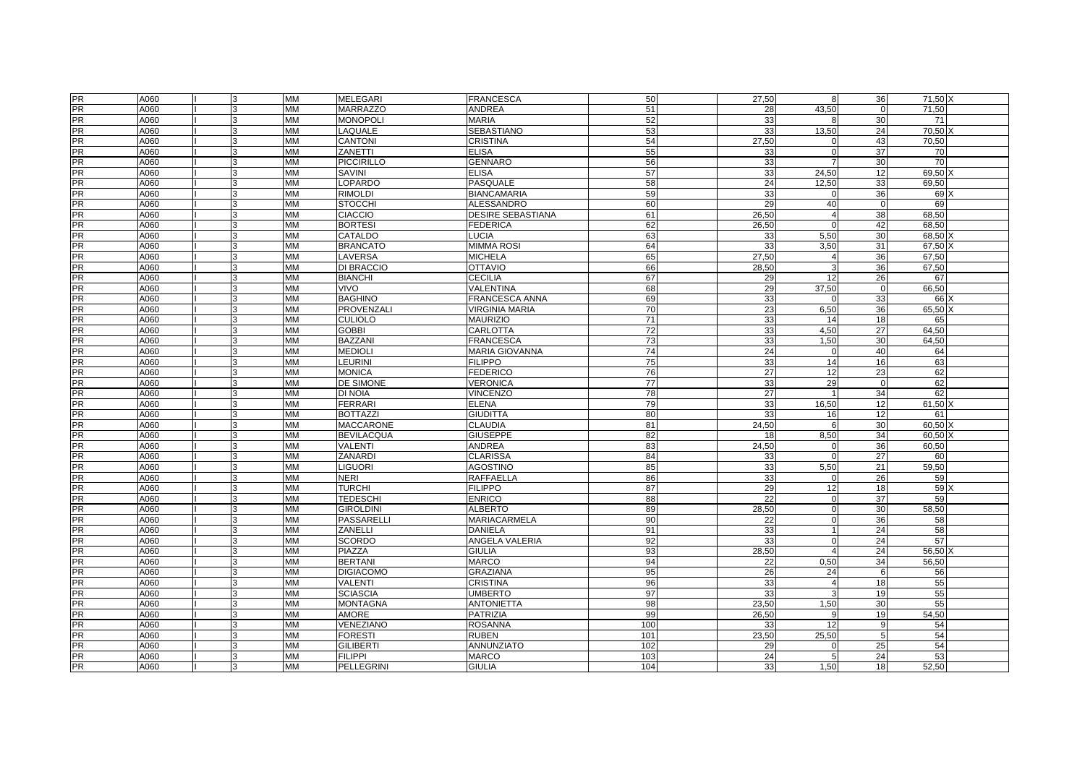|                 | A060 | 3            | MM        | <b>MELEGARI</b>   | <b>FRANCESCA</b>         | 50              | 27,50           | 8              | 36              | 71,50 X          |
|-----------------|------|--------------|-----------|-------------------|--------------------------|-----------------|-----------------|----------------|-----------------|------------------|
| PR<br>PR        | A060 | 3            | <b>MM</b> | <b>MARRAZZO</b>   | <b>ANDREA</b>            | 51              | 28              | 43,50          | $\mathbf 0$     | 71,50            |
| <b>PR</b>       | A060 |              | <b>MM</b> | <b>MONOPOLI</b>   | <b>MARIA</b>             | 52              | 33              |                | 30              | 71               |
| <b>PR</b>       | A060 | <b>R</b>     | <b>MM</b> | LAQUALE           | SEBASTIANO               | 53              | 33              | 13,50          | 24              | 70,50            |
| <b>PR</b>       | A060 |              | MM        | <b>CANTONI</b>    | CRISTINA                 | 54              | 27,50           | $\mathsf{C}$   | 43              | 70,50            |
| <b>PR</b>       | A060 |              | <b>MM</b> | ZANETTI           | <b>ELISA</b>             | 55              | 33              | $\sqrt{ }$     | 37              | 70               |
| PR<br>PR        | A060 |              | <b>MM</b> | <b>PICCIRILLO</b> | <b>GENNARO</b>           | 56              | 33              |                | 30              | 70               |
|                 | A060 |              | <b>MM</b> | <b>SAVINI</b>     | <b>ELISA</b>             | 57              | 33              | 24,50          | 12              | 69,50            |
| <b>PR</b>       | A060 |              | <b>MM</b> | LOPARDO           | PASQUALE                 | 58              | 24              | 12,50          | 33              | 69,50            |
| <b>PR</b>       | A060 |              | <b>MM</b> | <b>RIMOLDI</b>    | <b>BIANCAMARIA</b>       | 59              | 33              | $\sqrt{ }$     | 36              | 69 X             |
| PR              | A060 |              | <b>MM</b> | <b>STOCCHI</b>    | ALESSANDRO               | 60              | 29              | 40             | $\mathbf 0$     | 69               |
| <b>PR</b>       | A060 | 3            | <b>MM</b> | <b>CIACCIO</b>    | <b>DESIRE SEBASTIANA</b> | 61              | 26,50           | $\overline{4}$ | 38              | 68,50            |
| PR              | A060 |              | <b>MM</b> | <b>BORTESI</b>    | FEDERICA                 | 62              | 26,50           | $\sqrt{ }$     | 42              | 68,50            |
| <b>PR</b>       | A060 |              | <b>MM</b> | CATALDO           | LUCIA                    | 63              | 33              | 5,50           | 30              | 68,50 X          |
| <b>PR</b>       | A060 | l3           | <b>MM</b> | <b>BRANCATO</b>   | <b>MIMMA ROSI</b>        | 64              | 33              | 3,50           | 31              | 67,50 X          |
| PR              | A060 | 3            | <b>MM</b> | LAVERSA           | <b>MICHELA</b>           | 65              | 27,50           | 4              | 36              | 67,50            |
| <b>PR</b>       | A060 |              | <b>MM</b> | DI BRACCIO        | <b>OTTAVIO</b>           | 66              | 28,50           | 3              | 36              | 67,50            |
| PR              | A060 |              | <b>MM</b> | <b>BIANCHI</b>    | <b>CECILIA</b>           | 67              | 29              | 12             | 26              | 67               |
| <b>PR</b>       | A060 |              | <b>MM</b> | <b>VIVO</b>       | VALENTINA                | 68              | 29              | 37,50          | $\mathbf 0$     | 66,50            |
| <b>PR</b>       | A060 |              | <b>MM</b> | <b>BAGHINO</b>    | FRANCESCA ANNA           | 69              | 33              | C              | 33              | 66)              |
| <b>PR</b>       | A060 |              | <b>MM</b> | <b>PROVENZALI</b> | <b>VIRGINIA MARIA</b>    | 70              | 23              | 6,50           | 36              | 65,50 X          |
| <b>PR</b>       | A060 | <b>R</b>     | <b>MM</b> | <b>CULIOLO</b>    | <b>MAURIZIO</b>          | $\overline{71}$ | 33              | 14             | 18              | 65               |
| <b>PR</b>       | A060 |              | MM        | <b>GOBBI</b>      | CARLOTTA                 | 72              | 33              | 4.50           | 27              | 64.50            |
| PR              | A060 |              | MM        | <b>BAZZANI</b>    | <b>FRANCESCA</b>         | 73              | 33              | 1,50           | 30              | 64,50            |
| <b>PR</b>       | A060 |              | <b>MM</b> | <b>MEDIOLI</b>    | MARIA GIOVANNA           | $\overline{74}$ | 24              | $\overline{0}$ | 40              | 64               |
| <b>PR</b>       | A060 |              | MM        | LEURINI           | <b>FILIPPO</b>           | 75              | 33              | 14             | 16              | 63               |
| <b>PR</b>       |      |              |           |                   |                          |                 |                 |                |                 |                  |
|                 | A060 |              | <b>MM</b> | <b>MONICA</b>     | <b>FEDERICO</b>          | 76              | 27              | 12             | 23              | 62               |
| <b>PR</b><br>PR | A060 |              | <b>MM</b> | DE SIMONE         | VERONICA                 | 77              | 33              | 29             | $\mathbf 0$     | 62<br>62         |
|                 | A060 |              | <b>MM</b> | DI NOIA           | <b>VINCENZO</b>          | 78              | 27              |                | 34              |                  |
| PR              | A060 | 3            | <b>MM</b> | <b>FERRARI</b>    | <b>ELENA</b>             | 79              | 33              | 16.50          | 12              | 61.50 X          |
| PR              | A060 |              | <b>MM</b> | <b>BOTTAZZI</b>   | <b>GIUDITTA</b>          | 80              | 33              | 16             | 12              | 61               |
| PR<br>PR        | A060 | 3            | <b>MM</b> | <b>MACCARONE</b>  | <b>CLAUDIA</b>           | 81              | 24.50           | 6              | 30              | 60.50 X          |
|                 | A060 | 3            | <b>MM</b> | <b>BEVILACQUA</b> | <b>GIUSEPPE</b>          | 82              | 18              | 8,50           | 34              | 60.50 X          |
| PR              | A060 | 3            | <b>MM</b> | <b>VALENTI</b>    | <b>ANDREA</b>            | 83              | 24,50           | $\Omega$       | 36              | 60,50            |
| <b>PR</b>       | A060 |              | <b>MM</b> | <b>ZANARDI</b>    | <b>CLARISSA</b>          | 84              | 33              | $\sqrt{2}$     | $\overline{27}$ | 60               |
| PR              | A060 |              | <b>MM</b> | <b>LIGUORI</b>    | AGOSTINO                 | 85              | 33              | 5,50           | 21              | 59,50            |
| <b>PR</b>       | A060 | 3            | <b>MM</b> | <b>NERI</b>       | <b>RAFFAELLA</b>         | 86              | 33              | $\Omega$       | 26              | 59               |
| <b>PR</b>       | A060 |              | <b>MM</b> | <b>TURCHI</b>     | <b>FILIPPO</b>           | 87              | 29              | 12             | 18              | 59)              |
| <b>PR</b>       | A060 |              | <b>MM</b> | <b>TEDESCHI</b>   | <b>ENRICO</b>            | 88              | $\overline{22}$ | $\sqrt{ }$     | $\overline{37}$ | 59               |
| <b>PR</b>       | A060 | $\mathbf{R}$ | <b>MM</b> | <b>GIROLDINI</b>  | <b>ALBERTO</b>           | 89              | 28,50           | $\Omega$       | 30              | 58,50            |
| <b>PR</b>       | A060 | 3            | <b>MM</b> | <b>PASSARELLI</b> | MARIACARMELA             | 90              | 22              | $\Omega$       | 36              | 58               |
| PR              | A060 |              | <b>MM</b> | ZANELLI           | <b>DANIELA</b>           | 91              | 33              |                | 24              | 58               |
| <b>PR</b>       | A060 |              | <b>MM</b> | <b>SCORDO</b>     | ANGELA VALERIA           | 92              | 33              | $\Omega$       | 24              | 57               |
| PR              | A060 | 3            | <b>MM</b> | <b>PIAZZA</b>     | <b>GIULIA</b>            | 93              | 28,50           | $\Delta$       | 24              | $56,50$ $\times$ |
| <b>PR</b>       | A060 |              | <b>MM</b> | <b>BERTANI</b>    | <b>MARCO</b>             | 94              | 22              | 0,50           | 34              | 56.50            |
| PR<br>PR        | A060 |              | <b>MM</b> | <b>DIGIACOMO</b>  | <b>GRAZIANA</b>          | 95              | 26              | 24             | 6               | 56               |
|                 | A060 |              | <b>MM</b> | <b>VALENTI</b>    | <b>CRISTINA</b>          | 96              | 33              | $\Delta$       | 18              | 55               |
| <b>PR</b>       | A060 |              | <b>MM</b> | <b>SCIASCIA</b>   | <b>UMBERTO</b>           | 97              | 33              | 3              | 19              | 55               |
| <b>PR</b>       | A060 |              | <b>MM</b> | <b>MONTAGNA</b>   | <b>ANTONIETTA</b>        | 98              | 23,50           | 1,50           | 30              | 55               |
| $\frac{1}{PR}$  | A060 | $\mathbf{R}$ | <b>MM</b> | <b>AMORE</b>      | <b>PATRIZIA</b>          | 99              | 26.50           | $\mathbf{q}$   | 19              | 54.50            |
| <b>PR</b>       | A060 | 3            | <b>MM</b> | VENEZIANO         | ROSANNA                  | 100             | 33              | 12             | 9               | 54               |
| <b>PR</b>       | A060 | 3            | <b>MM</b> | <b>FORESTI</b>    | <b>RUBEN</b>             | 101             | 23,50           | 25,50          | 5               | 54               |
| <b>PR</b>       | A060 |              | <b>MM</b> | <b>GILIBERTI</b>  | <b>ANNUNZIATO</b>        | 102             | 29              |                | 25              | 54               |
| <b>PR</b>       | A060 |              | <b>MM</b> | <b>FILIPPI</b>    | <b>MARCO</b>             | 103             | 24              | 5              | 24              | 53               |
| PR              | A060 | 3            | <b>MM</b> | <b>PELLEGRINI</b> | <b>GIULIA</b>            | 104             | 33              | 1.50           | 18              | 52.50            |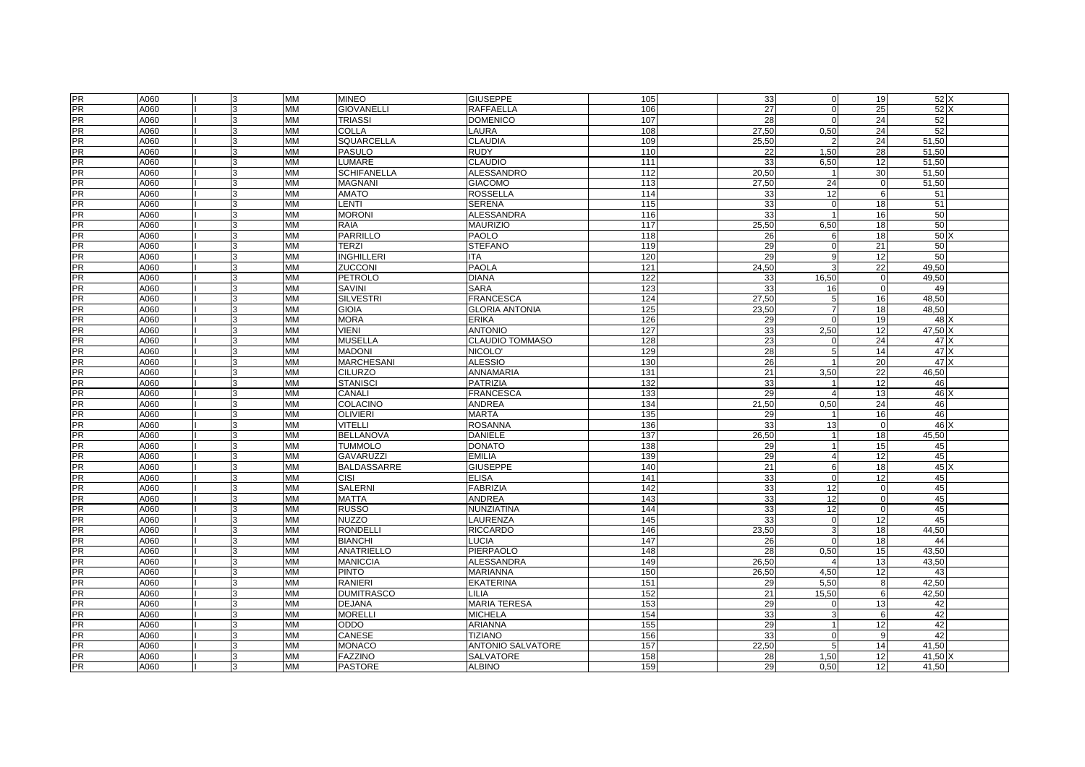| <b>PR</b>      | A060 |              | <b>MM</b> | <b>MINEO</b>       | <b>GIUSEPPE</b>          | 105 | 33    | $\mathbf 0$    | 19              | 52 X            |  |
|----------------|------|--------------|-----------|--------------------|--------------------------|-----|-------|----------------|-----------------|-----------------|--|
| <b>PR</b>      | A060 |              | <b>MM</b> | <b>GIOVANELLI</b>  | <b>RAFFAELLA</b>         | 106 | 27    | $\Omega$       | 25              | 52X             |  |
| <b>PR</b>      | A060 |              | <b>MM</b> | <b>TRIASSI</b>     | <b>DOMENICO</b>          | 107 | 28    | $\Omega$       | 24              | 52              |  |
| <b>PR</b>      | A060 |              | <b>MM</b> | COLLA              | LAURA                    | 108 | 27,50 | 0,50           | 24              | 52              |  |
| $\frac{1}{PR}$ | A060 | 3            | <b>MM</b> | <b>SQUARCELLA</b>  | CLAUDIA                  | 109 | 25,50 | $\overline{2}$ | 24              | 51,50           |  |
| <b>PR</b>      | A060 |              | <b>MM</b> | <b>PASULO</b>      | <b>RUDY</b>              | 110 | 22    | 1,50           | 28              | 51,50           |  |
| PR             | A060 |              | <b>MM</b> | LUMARE             | <b>CLAUDIO</b>           | 111 | 33    | 6,50           | 12              | 51,50           |  |
| PR             | A060 |              | <b>MM</b> | <b>SCHIFANELLA</b> | <b>ALESSANDRO</b>        | 112 | 20,50 | $\overline{1}$ | 30              | 51,50           |  |
| <b>PR</b>      | A060 |              | <b>MM</b> | <b>MAGNANI</b>     | <b>GIACOMO</b>           | 113 | 27.50 | 24             | $\mathbf 0$     | 51,50           |  |
| PR             | A060 |              | <b>MM</b> | <b>AMATO</b>       | <b>ROSSELLA</b>          | 114 | 33    | 12             | 6               | 51              |  |
| <b>PR</b>      | A060 | 3            | <b>MM</b> | <b>LENTI</b>       | <b>SERENA</b>            | 115 | 33    | $\Omega$       | 18              | 51              |  |
| <b>PR</b>      | A060 | 3            | <b>MM</b> | <b>MORONI</b>      | <b>ALESSANDRA</b>        | 116 | 33    | $\overline{1}$ | 16              | 50              |  |
| <b>PR</b>      | A060 |              | <b>MM</b> | <b>RAIA</b>        | <b>MAURIZIO</b>          | 117 | 25,50 | 6,50           | 18              | 50              |  |
| <b>PR</b>      | A060 |              | <b>MM</b> | <b>PARRILLO</b>    | PAOLO                    | 118 | 26    | 6              | 18              | 50              |  |
| <b>PR</b>      | A060 |              | MM        | <b>TERZI</b>       | <b>STEFANO</b>           | 119 | 29    | $\Omega$       | 21              | 50              |  |
| PR             | A060 |              | <b>MM</b> | INGHILLERI         | ITA                      | 120 | 29    | 9              | 12              | 50              |  |
| <b>PR</b>      | A060 |              | <b>MM</b> | ZUCCONI            | <b>PAOLA</b>             | 121 | 24,50 |                | $\overline{22}$ | 49,50           |  |
| PR             | A060 | 3            | <b>MM</b> | PETROLO            | <b>DIANA</b>             | 122 | 33    | 16,50          | $\mathbf 0$     | 49,50           |  |
| <b>PR</b>      | A060 |              | <b>MM</b> | SAVINI             | <b>SARA</b>              | 123 | 33    | 16             | $\Omega$        | 49              |  |
| <b>PR</b>      | A060 |              | <b>MM</b> | <b>SILVESTRI</b>   | <b>FRANCESCA</b>         | 124 | 27,50 | 5              | 16              | 48,50           |  |
| <b>PR</b>      | A060 |              | <b>MM</b> | <b>GIOIA</b>       | <b>GLORIA ANTONIA</b>    | 125 | 23,50 | $\overline{7}$ | 18              | 48,50           |  |
| <b>PR</b>      | A060 | <b>R</b>     | <b>MM</b> | <b>MORA</b>        | <b>ERIKA</b>             | 126 | 29    | $\Omega$       | 19              | $48$ $\times$   |  |
| <b>PR</b>      | A060 | 3            | <b>MM</b> | <b>VIENI</b>       | <b>ANTONIO</b>           | 127 | 33    | 2.50           | 12              | 47.50 X         |  |
| PR             | A060 |              | <b>MM</b> | <b>MUSELLA</b>     | CLAUDIO TOMMASO          | 128 | 23    | O              | 24              | 47 X            |  |
| <b>PR</b>      | A060 | 3            | <b>MM</b> | <b>MADONI</b>      | NICOLO'                  | 129 | 28    | 5              | 14              | 47 X            |  |
| <b>PR</b>      | A060 | 3            | <b>MM</b> | <b>MARCHESANI</b>  | <b>ALESSIO</b>           | 130 | 26    | $\overline{1}$ | $\overline{20}$ | 47 <sup>2</sup> |  |
| <b>PR</b>      | A060 |              | <b>MM</b> | <b>CILURZO</b>     | ANNAMARIA                | 131 | 21    | 3,50           | 22              | 46,50           |  |
| <b>PR</b>      | A060 |              | <b>MM</b> | <b>STANISCI</b>    | PATRIZIA                 | 132 | 33    |                | 12              | 46              |  |
| <b>PR</b>      | A060 |              | MM        | CANALI             | <b>FRANCESCA</b>         | 133 | 29    | $\overline{4}$ | 13              | 46              |  |
| PR             | A060 |              | <b>MM</b> | COLACINO           | ANDREA                   | 134 | 21,50 | 0,50           | 24              | 46              |  |
| PR             | A060 |              | <b>MM</b> | <b>OLIVIERI</b>    | <b>MARTA</b>             | 135 | 29    |                | 16              | 46              |  |
| <b>PR</b>      | A060 |              | <b>MM</b> | <b>VITELLI</b>     | <b>ROSANNA</b>           | 136 | 33    | 13             | $\mathbf 0$     | 46              |  |
| <b>PR</b>      | A060 | 3            | <b>MM</b> | <b>BELLANOVA</b>   | DANIELE                  | 137 | 26,50 | -1             | 18              | 45,50           |  |
| <b>PR</b>      | A060 |              | <b>MM</b> | <b>TUMMOLO</b>     | DONATO                   | 138 | 29    |                | 15              | 45              |  |
| <b>PR</b>      | A060 |              | <b>MM</b> | <b>GAVARUZZI</b>   | <b>EMILIA</b>            | 139 | 29    | $\overline{4}$ | 12              | 45              |  |
| <b>PR</b>      | A060 | 3            | <b>MM</b> | <b>BALDASSARRE</b> | <b>GIUSEPPE</b>          | 140 | 21    | 6              | 18              | 45              |  |
| <b>PR</b>      | A060 | 3            | <b>MM</b> | <b>CISI</b>        | <b>ELISA</b>             | 141 | 33    | $\Omega$       | 12              | 45              |  |
| PR             | A060 |              | <b>MM</b> | <b>SALERNI</b>     | <b>FABRIZIA</b>          | 142 | 33    | 12             | $\mathbf 0$     | 45              |  |
| PR             | A060 |              | <b>MM</b> | <b>MATTA</b>       | <b>ANDREA</b>            | 143 | 33    | 12             | $\mathbf 0$     | 45              |  |
| <b>PR</b>      | A060 | 3            | <b>MM</b> | <b>RUSSO</b>       | NUNZIATINA               | 144 | 33    | 12             | $\mathbf 0$     | 45              |  |
| <b>PR</b>      | A060 |              | <b>MM</b> | <b>NUZZO</b>       | LAURENZA                 | 145 | 33    | $\Omega$       | 12              | 45              |  |
| <b>PR</b>      | A060 |              | <b>MM</b> | <b>RONDELLI</b>    | <b>RICCARDO</b>          | 146 | 23,50 | 3              | 18              | 44,50           |  |
| <b>PR</b>      | A060 |              | <b>MM</b> | <b>BIANCHI</b>     | LUCIA                    | 147 | 26    | $\Omega$       | 18              | 44              |  |
| <b>PR</b>      | A060 |              | <b>MM</b> | <b>ANATRIELLO</b>  | PIERPAOLO                | 148 | 28    | 0,50           | 15              | 43,50           |  |
| <b>PR</b>      | A060 |              | <b>MM</b> | <b>MANICCIA</b>    | ALESSANDRA               | 149 | 26,50 | Δ              | 13              | 43,50           |  |
| <b>PR</b>      | A060 |              | <b>MM</b> | <b>PINTO</b>       | <b>MARIANNA</b>          | 150 | 26,50 | 4,50           | 12              | 43              |  |
| $\frac{1}{PR}$ | A060 |              | <b>MM</b> | RANIERI            | EKATERINA                | 151 | 29    | 5,50           | 8               | 42,50           |  |
| PR             | A060 |              | <b>MM</b> | <b>DUMITRASCO</b>  | _ILIA                    | 152 | 21    | 15,50          | 6               | 42,50           |  |
| <b>PR</b>      | A060 |              | <b>MM</b> | <b>DEJANA</b>      | <b>MARIA TERESA</b>      | 153 | 29    | $\Omega$       | 13              | 42              |  |
| <b>PR</b>      | A060 | $\mathbf{R}$ | <b>MM</b> | <b>MORELLI</b>     | <b>MICHELA</b>           | 154 | 33    | 3              | 6               | 42              |  |
| <b>PR</b>      | A060 | 3            | <b>MM</b> | ODDO               | ARIANNA                  | 155 | 29    |                | 12              | 42              |  |
| PR             | A060 |              | <b>MM</b> | <b>CANESE</b>      | <b>TIZIANO</b>           | 156 | 33    | $\Omega$       | 9               | 42              |  |
| <b>PR</b>      | A060 |              | <b>MM</b> | <b>MONACO</b>      | <b>ANTONIO SALVATORE</b> | 157 | 22.50 | 5              | 14              | 41,50           |  |
| <b>PR</b>      | A060 | 3            | <b>MM</b> | <b>FAZZINO</b>     | <b>SALVATORE</b>         | 158 | 28    | 1.50           | 12              | 41,50 X         |  |
| PR             | A060 |              | <b>MM</b> | <b>PASTORE</b>     | <b>ALBINO</b>            | 159 | 29    | 0,50           | 12              | 41,50           |  |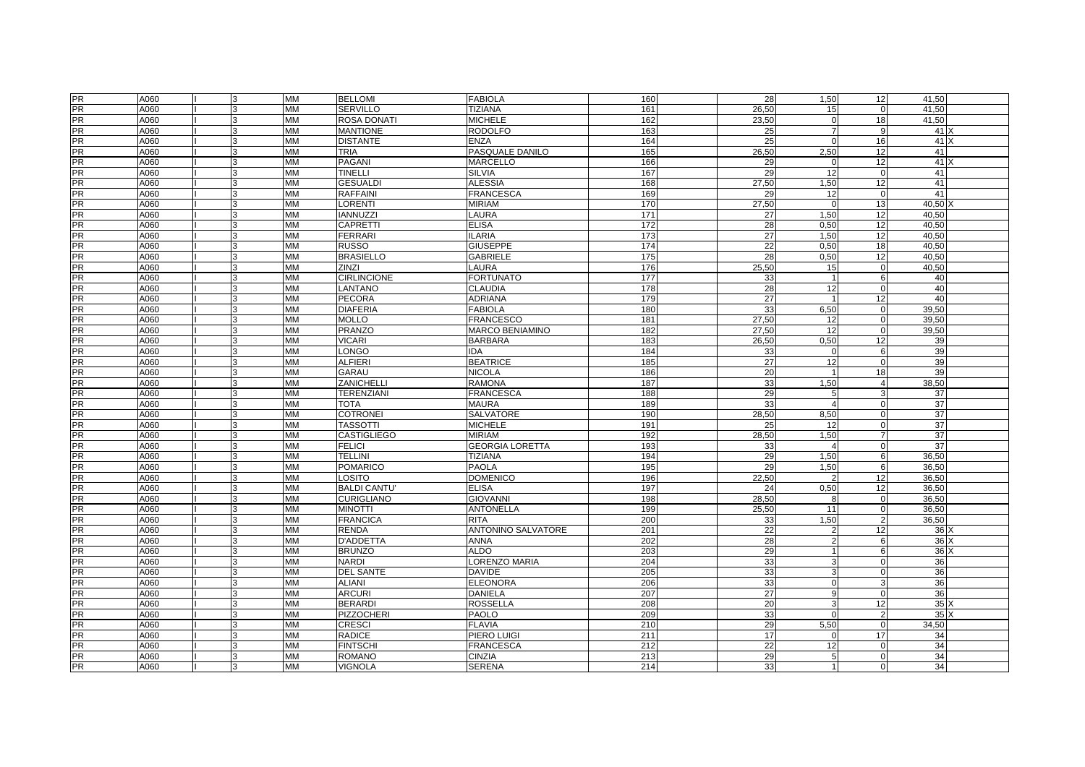| <b>PR</b>       | A060         |              | <b>MM</b>              | <b>BELLOMI</b>                    | <b>FABIOLA</b>                           | 160        | 28              | 1,50                    | 12                         | 41,50           |
|-----------------|--------------|--------------|------------------------|-----------------------------------|------------------------------------------|------------|-----------------|-------------------------|----------------------------|-----------------|
| <b>PR</b>       | A060         | 3            | <b>MM</b>              | <b>SERVILLO</b>                   | <b>TIZIANA</b>                           | 161        | 26,50           | 15                      | $\mathbf 0$                | 41,50           |
| PR              | A060         |              | <b>MM</b>              | ROSA DONATI                       | <b>MICHELE</b>                           | 162        | 23,50           | $\mathsf{C}$            | 18                         | 41,50           |
|                 | A060         |              | <b>MM</b>              | <b>MANTIONE</b>                   | <b>RODOLFO</b>                           | 163        | 25              | 7                       | 9                          | 41)             |
| PR<br>PR        | A060         | 3            | <b>MM</b>              | <b>DISTANTE</b>                   | <b>ENZA</b>                              | 164        | 25              | $\Omega$                | 16                         | $41 \times$     |
| <b>PR</b>       | A060         |              | <b>MM</b>              | <b>TRIA</b>                       | PASQUALE DANILO                          | 165        | 26,50           | 2,50                    | 12                         | 41              |
| PR              | A060         |              | <b>MM</b>              | <b>PAGANI</b>                     | MARCELLO                                 | 166        | 29              | $\mathsf{C}$            | 12                         | 41X             |
| PR              | A060         |              | <b>MM</b>              | TINELLI                           | <b>SILVIA</b>                            | 167        | 29              | 12                      | $\mathbf 0$                | 41              |
| <b>PR</b>       | A060         |              | <b>MM</b>              | <b>GESUALDI</b>                   | <b>ALESSIA</b>                           | 168        | 27.50           | 1,50                    | 12                         | 41              |
| <b>PR</b>       | A060         |              | MM                     | <b>RAFFAINI</b>                   | <b>FRANCESCA</b>                         | 169        | 29              | 12                      | $\mathbf 0$                | 41              |
| PR              | A060         |              | <b>MM</b>              | <b>LORENTI</b>                    | <b>MIRIAM</b>                            | 170        | 27,50           | $\Omega$                | 13                         | 40,50 X         |
| <b>PR</b>       | A060         | 3            | <b>MM</b>              | <b>IANNUZZI</b>                   | LAURA                                    | 171        | 27              | 1,50                    | 12                         | 40.50           |
| <b>PR</b>       | A060         |              | <b>MM</b>              | CAPRETTI                          | <b>ELISA</b>                             | 172        | 28              | 0,50                    | 12                         | 40,50           |
| <b>PR</b>       | A060         |              | <b>MM</b>              | <b>FERRARI</b>                    | <b>ILARIA</b>                            | 173        | 27              | 1,50                    | 12                         | 40,50           |
| <b>PR</b>       | A060         |              | <b>MM</b>              | <b>RUSSO</b>                      | <b>GIUSEPPE</b>                          | 174        | 22              | 0,50                    | 18                         | 40,50           |
| <b>PR</b>       | A060         |              | <b>MM</b>              | <b>BRASIELLO</b>                  | <b>GABRIELE</b>                          | 175        | 28              | 0,50                    | 12                         | 40,50           |
| <b>PR</b>       | A060         |              | <b>MM</b>              | ZINZI                             | LAURA                                    | 176        | 25,50           | 15                      | $\mathbf 0$                | 40,50           |
| <b>PR</b>       | A060         | 3            | <b>MM</b>              | <b>CIRLINCIONE</b>                | <b>FORTUNATO</b>                         | 177        | 33              | $\overline{1}$          | 6                          | 40              |
| <b>PR</b>       | A060         | $\mathbf{R}$ | <b>MM</b>              | <b>LANTANO</b>                    | <b>CLAUDIA</b>                           | 178        | 28              | 12                      | $\Omega$                   | 40              |
| <b>PR</b>       | A060         | 3            | <b>MM</b>              | <b>PECORA</b>                     | <b>ADRIANA</b>                           | 179        | 27              |                         | 12                         | 40              |
| PR              | A060         |              | <b>MM</b>              | <b>DIAFERIA</b>                   | <b>FABIOLA</b>                           | 180        | 33              | 6,50                    | $\mathbf 0$                | 39,50           |
| PR              | A060         |              | <b>MM</b>              | <b>MOLLO</b>                      | <b>FRANCESCO</b>                         | 181        | 27.50           | 12                      | $\mathbf 0$                | 39,50           |
| <b>PR</b>       | A060         | 3            | <b>MM</b>              | <b>PRANZO</b>                     | MARCO BENIAMINO                          | 182        | 27.50           | 12                      | $\mathbf 0$                | 39,50           |
| PR              | A060         |              | <b>MM</b>              | <b>VICARI</b>                     | <b>BARBARA</b>                           | 183        | 26,50           | 0,50                    | 12                         | 39              |
| <b>PR</b>       | A060         |              | <b>MM</b>              | LONGO                             | <b>IDA</b>                               | 184        | 33              | $\sqrt{ }$              | 6                          | 39              |
| <b>PR</b>       | A060         |              | <b>MM</b>              | <b>ALFIERI</b>                    | <b>BEATRICE</b>                          | 185        | $\overline{27}$ | $\overline{12}$         | $\Omega$                   | 39              |
| <b>PR</b>       | A060         | 3            | <b>MM</b>              | <b>GARAU</b>                      | <b>NICOLA</b>                            | 186        | 20              |                         | 18                         | 39              |
| PR              | A060         |              | <b>MM</b>              | ZANICHELL                         | RAMONA                                   | 187        | 33              | 1,50                    | $\overline{4}$             | 38,50           |
| <b>PR</b>       | A060         |              | <b>MM</b>              | <b>TERENZIANI</b>                 | FRANCESCA                                | 188        | 29              | 5                       | 3                          | 37              |
| <b>PR</b>       | A060         | 3            | <b>MM</b>              | <b>TOTA</b>                       | MAURA                                    | 189        | 33              | $\overline{4}$          | $\mathbf 0$                | 37              |
| <b>PR</b>       | A060         |              | <b>MM</b>              | <b>COTRONEI</b>                   | SALVATORE                                | 190        | 28,50           | 8,50                    | $\mathbf 0$                | 37              |
|                 | A060         |              | <b>MM</b>              | <b>TASSOTTI</b>                   | <b>MICHELE</b>                           | 191        | 25              | 12                      | $\mathbf 0$                | 37              |
| PR<br>PR        | A060         | 3            | <b>MM</b>              | <b>CASTIGLIEGO</b>                | MIRIAM                                   | 192        | 28,50           | 1,50                    | $\overline{7}$             | $\overline{37}$ |
| <b>PR</b>       | A060         | 3            | <b>MM</b>              | <b>FELICI</b>                     | <b>GEORGIA LORETTA</b>                   | 193        | 33              | 4                       | $\mathbf 0$                | 37              |
| PR              | A060         |              | <b>MM</b>              | <b>TELLINI</b>                    | <b>TIZIANA</b>                           | 194        | 29              | 1,50                    | 6                          | 36,50           |
| PR              | A060         |              | <b>MM</b>              | <b>POMARICO</b>                   | PAOLA                                    | 195        | 29              | 1,50                    | 6                          | 36,50           |
| <b>PR</b>       | A060         | 3            | <b>MM</b>              | LOSITO                            |                                          | 196        | 22,50           | 2                       | 12                         | 36,50           |
| <b>PR</b>       | A060         |              | <b>MM</b>              | <b>BALDI CANTU'</b>               | <b>DOMENICO</b><br><b>ELISA</b>          | 197        | 24              | 0,50                    | 12                         | 36,50           |
| <b>PR</b>       | A060         |              | <b>MM</b>              | <b>CURIGLIANO</b>                 | <b>GIOVANNI</b>                          | 198        | 28,50           | 8                       | $\mathbf 0$                | 36,50           |
| <b>PR</b>       | A060         |              | <b>MM</b>              | <b>MINOTTI</b>                    | <b>ANTONELLA</b>                         | 199        | 25,50           | 11                      | $\mathbf 0$                | 36,50           |
|                 | A060         |              |                        |                                   |                                          |            |                 |                         | $\overline{2}$             |                 |
| <b>PR</b><br>PR | A060         |              | MM<br><b>MM</b>        | <b>FRANCICA</b><br><b>RENDA</b>   | <b>RITA</b><br><b>ANTONINO SALVATORE</b> | 200<br>201 | 33<br>22        | 1,50                    | 12                         | 36,50<br>36X    |
| <b>PR</b>       | A060         |              | <b>MM</b>              | D'ADDETTA                         | <b>ANNA</b>                              | 202        | 28              | $\mathcal{P}$           | 6                          | 36X             |
| <b>PR</b>       | A060         | 3            | <b>MM</b>              | <b>BRUNZO</b>                     | <b>ALDO</b>                              | 203        |                 |                         | 6                          | 36              |
| <b>PR</b>       |              |              | <b>MM</b>              | <b>NARDI</b>                      |                                          | 204        | 29              | 3                       |                            |                 |
| <b>PR</b>       | A060         |              | <b>MM</b>              |                                   | <b>_ORENZO MARIA</b><br><b>DAVIDE</b>    |            | 33              | э                       | $\mathbf 0$<br>$\mathbf 0$ | 36<br>36        |
| PR              | A060         |              |                        | <b>DEL SANTE</b><br><b>ALIANI</b> |                                          | 205        | 33              | $\Omega$                |                            |                 |
| <b>PR</b>       | A060<br>A060 |              | <b>MM</b><br><b>MM</b> | <b>ARCURI</b>                     | <b>ELEONORA</b><br>DANIELA               | 206<br>207 | 33<br>27        | $\mathbf{q}$            | 3<br>$\Omega$              | 36<br>36        |
| <b>PR</b>       |              |              |                        |                                   |                                          |            |                 | э                       |                            |                 |
| PR              | A060         | $\mathbf{R}$ | <b>MM</b>              | <b>BERARDI</b>                    | <b>ROSSELLA</b>                          | 208        | 20              | $\sqrt{2}$              | 12                         | 35)             |
| <b>PR</b>       | A060         | 3            | <b>MM</b>              | <b>PIZZOCHERI</b>                 | <b>PAOLO</b>                             | 209        | 33              |                         | $\overline{2}$             | 35X<br>34.50    |
| <b>PR</b>       | A060         |              | <b>MM</b>              | <b>CRESCI</b>                     | <b>FLAVIA</b>                            | 210        | 29              | 5,50                    | $\mathbf 0$                |                 |
| <b>PR</b>       | A060         | 3            | <b>MM</b>              | <b>RADICE</b>                     | PIERO LUIGI                              | 211        | 17              | $\Omega$                | 17                         | 34              |
|                 | A060         |              | <b>MM</b>              | <b>FINTSCHI</b>                   | <b>FRANCESCA</b>                         | 212        | $\overline{22}$ | 12                      | $\Omega$                   | 34              |
| <b>PR</b>       | A060         |              | <b>MM</b>              | <b>ROMANO</b>                     | <b>CINZIA</b>                            | 213        | 29              | 5                       | $\Omega$                   | 34              |
| PR              | A060         | 3            | <b>MM</b>              | <b>VIGNOLA</b>                    | <b>SERENA</b>                            | 214        | 33              | $\overline{\mathbf{1}}$ | $\Omega$                   | 34              |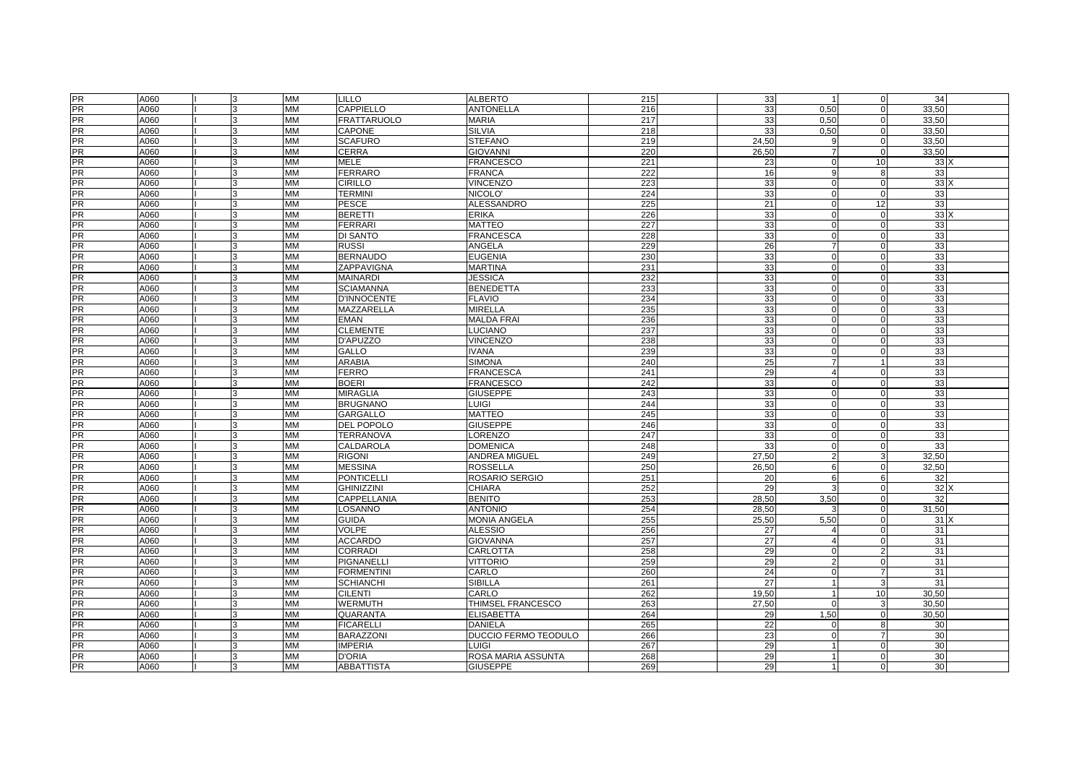|                | A060 | 3        | <b>MM</b> | <b>LILLO</b>       | <b>ALBERTO</b>              | 215 | 33    | $\overline{1}$ | $\mathbf 0$    | 34              |
|----------------|------|----------|-----------|--------------------|-----------------------------|-----|-------|----------------|----------------|-----------------|
| PR<br>PR       | A060 | 3        | <b>MM</b> | CAPPIELLO          | <b>ANTONELLA</b>            | 216 | 33    | 0,50           | $\mathbf{0}$   | 33,50           |
| <b>PR</b>      | A060 |          | <b>MM</b> | <b>FRATTARUOLO</b> | <b>MARIA</b>                | 217 | 33    | 0,50           | 0              | 33,50           |
| <b>PR</b>      | A060 |          | <b>MM</b> | <b>CAPONE</b>      | <b>SILVIA</b>               | 218 | 33    | 0,50           | $\mathbf 0$    | 33,50           |
| <b>PR</b>      | A060 |          | MM        | <b>SCAFURO</b>     | <b>STEFANO</b>              | 219 | 24,50 | q              | $\mathbf 0$    | 33,50           |
| <b>PR</b>      | A060 |          | <b>MM</b> | <b>CERRA</b>       | GIOVANNI                    | 220 | 26.50 | $\overline{7}$ | $\mathbf 0$    | 33,50           |
| <b>PR</b>      | A060 |          | MM        | <b>MELE</b>        | <b>FRANCESCO</b>            | 221 | 23    | $\sqrt{ }$     | 10             | 33)             |
| <b>PR</b>      | A060 |          | <b>MM</b> | <b>FERRARO</b>     | <b>FRANCA</b>               | 222 | 16    | q              | 8              | 33              |
| <b>PR</b>      | A060 | l3       | <b>MM</b> | <b>CIRILLO</b>     | <b>VINCENZO</b>             | 223 | 33    | $\Omega$       | $\mathbf 0$    | $33 \times$     |
| <b>PR</b>      | A060 |          | <b>MM</b> | <b>TERMINI</b>     | NICOLO'                     | 224 | 33    | $\sqrt{ }$     | $\mathbf 0$    | 33              |
| <b>PR</b>      | A060 |          | <b>MM</b> | <b>PESCE</b>       | <b>ALESSANDRO</b>           | 225 | 21    | $\sqrt{ }$     | 12             | 33              |
| <b>PR</b>      | A060 |          | <b>MM</b> | <b>BERETTI</b>     | <b>ERIKA</b>                | 226 | 33    | $\Omega$       | $\mathbf 0$    | 33)             |
| <b>PR</b>      | A060 | l3       | <b>MM</b> | <b>FERRARI</b>     | <b>MATTEO</b>               | 227 | 33    | $\sqrt{ }$     | $\Omega$       | 33              |
| <b>PR</b>      | A060 |          | <b>MM</b> | DI SANTO           | <b>FRANCESCA</b>            | 228 | 33    | $\sqrt{ }$     | $\Omega$       | 33              |
| <b>PR</b>      | A060 |          | <b>MM</b> | <b>RUSSI</b>       | <b>ANGELA</b>               | 229 | 26    |                | $\mathbf 0$    | 33              |
| PR             | A060 | 3        | <b>MM</b> | <b>BERNAUDO</b>    | <b>EUGENIA</b>              | 230 | 33    | $\Omega$       | $\Omega$       | 33              |
| <b>PR</b>      |      |          |           |                    |                             |     |       | C              |                |                 |
|                | A060 |          | <b>MM</b> | ZAPPAVIGNA         | <b>MARTINA</b>              | 231 | 33    |                | $\Omega$       | 33              |
| <b>PR</b>      | A060 |          | <b>MM</b> | <b>MAINARDI</b>    | <b>JESSICA</b>              | 232 | 33    | $\sqrt{ }$     | $\Omega$       | 33              |
| PR             | A060 |          | <b>MM</b> | <b>SCIAMANNA</b>   | <b>BENEDETTA</b>            | 233 | 33    | $\sqrt{ }$     | $\pmb{0}$      | 33              |
| PR             | A060 |          | <b>MM</b> | <b>D'INNOCENTE</b> | <b>FLAVIO</b>               | 234 | 33    | $\sqrt{ }$     | $\mathbf 0$    | 33              |
| <b>PR</b>      | A060 |          | MM        | MAZZARELLA         | MIRELLA                     | 235 | 33    | C              | $\mathbf 0$    | 33              |
| <b>PR</b>      | A060 |          | <b>MM</b> | <b>EMAN</b>        | <b>MALDA FRAI</b>           | 236 | 33    | $\sqrt{ }$     | $\mathbf 0$    | 33              |
| <b>PR</b>      | A060 |          | <b>MM</b> | <b>CLEMENTE</b>    | LUCIANO                     | 237 | 33    | $\Omega$       | $\mathbf 0$    | 33              |
| <b>PR</b>      | A060 |          | <b>MM</b> | D'APUZZO           | <b>VINCENZO</b>             | 238 | 33    | C              | $\mathbf 0$    | 33              |
| PR             | A060 |          | <b>MM</b> | <b>GALLO</b>       | <b>VANA</b>                 | 239 | 33    | $\sqrt{ }$     | $\mathbf 0$    | 33              |
| <b>PR</b>      | A060 | <b>R</b> | <b>MM</b> | ARABIA             | <b>SIMONA</b>               | 240 | 25    | 7              | $\mathbf{1}$   | 33              |
| <b>PR</b>      | A060 |          | <b>MM</b> | <b>FERRO</b>       | <b>FRANCESCA</b>            | 241 | 29    | $\overline{A}$ | $\Omega$       | 33              |
| <b>PR</b>      | A060 |          | <b>MM</b> | <b>BOERI</b>       | <b>FRANCESCO</b>            | 242 | 33    | $\sqrt{ }$     | $\Omega$       | 33              |
| PR             | A060 |          | <b>MM</b> | <b>MIRAGLIA</b>    | <b>GIUSEPPE</b>             | 243 | 33    | $\sqrt{ }$     | $\mathbf 0$    | 33              |
| PR             | A060 |          | <b>MM</b> | <b>BRUGNANO</b>    | LUIGI                       | 244 | 33    | $\Omega$       | $\Omega$       | 33              |
| PR             | A060 |          | <b>MM</b> | <b>GARGALLO</b>    | <b>MATTEO</b>               | 245 | 33    | $\sqrt{2}$     | $\Omega$       | 33              |
| <b>PR</b>      | A060 |          | <b>MM</b> | <b>DEL POPOLO</b>  | <b>GIUSEPPE</b>             | 246 | 33    | $\sqrt{ }$     | $\Omega$       | 33              |
| <b>PR</b>      | A060 |          | <b>MM</b> | <b>TERRANOVA</b>   | LORENZO                     | 247 | 33    | $\sqrt{ }$     | $\mathbf 0$    | 33              |
| <b>PR</b>      | A060 |          | <b>MM</b> | CALDAROLA          | <b>DOMENICA</b>             | 248 | 33    | $\Omega$       | $\mathbf 0$    | 33              |
| <b>PR</b>      | A060 |          | <b>MM</b> | <b>RIGONI</b>      | ANDREA MIGUEL               | 249 | 27.50 |                | 3              | 32,50           |
| <b>PR</b>      | A060 |          | <b>MM</b> | <b>MESSINA</b>     | <b>ROSSELLA</b>             | 250 | 26.50 | 6              | $\Omega$       | 32,50           |
| PR             | A060 | 3        | <b>MM</b> | <b>PONTICELLI</b>  | ROSARIO SERGIO              | 251 | 20    | 6              | 6              | 32              |
| PR             | A060 |          | <b>MM</b> | <b>GHINIZZINI</b>  | <b>CHIARA</b>               | 252 | 29    | З              | $\mathbf 0$    | 32)             |
| <b>PR</b>      | A060 |          | <b>MM</b> | CAPPELLANIA        | <b>BENITO</b>               | 253 | 28,50 | 3,50           | $\mathbf 0$    | 32              |
| <b>PR</b>      | A060 |          | <b>MM</b> | LOSANNO            | <b>ANTONIO</b>              | 254 | 28,50 | З              | $\mathbf 0$    | 31,50           |
| PR             | A060 |          | MM        | <b>GUIDA</b>       | <b>MONIA ANGELA</b>         | 255 | 25,50 | 5,50           | $\mathbf 0$    | 31 <sub>2</sub> |
| <b>PR</b>      | A060 |          | <b>MM</b> | <b>VOLPE</b>       | <b>ALESSIO</b>              | 256 | 27    |                | $\mathbf 0$    | 31              |
| <b>PR</b>      | A060 |          | <b>MM</b> | <b>ACCARDO</b>     | <b>GIOVANNA</b>             | 257 | 27    | 4              | $\mathbf 0$    | 31              |
| $\frac{1}{PR}$ | A060 | 3        | <b>MM</b> | <b>CORRADI</b>     | CARLOTTA                    | 258 | 29    | $\Omega$       | $\overline{2}$ | 31              |
| <b>PR</b>      | A060 |          | <b>MM</b> | PIGNANELLI         | <b>VITTORIO</b>             | 259 | 29    | $\mathfrak{p}$ | $\mathbf 0$    | 31              |
| <b>PR</b>      | A060 |          | MM        | <b>FORMENTINI</b>  | CARLO                       | 260 | 24    | $\sqrt{ }$     | $\overline{7}$ | 31              |
| PR             | A060 |          | <b>MM</b> | <b>SCHIANCHI</b>   | <b>SIBILLA</b>              | 261 | 27    |                | 3              | 31              |
| <b>PR</b>      | A060 |          | <b>MM</b> | <b>CILENTI</b>     | CARLO                       | 262 | 19.50 |                | 10             | 30.50           |
| <b>PR</b>      | A060 |          | <b>MM</b> | <b>WERMUTH</b>     | THIMSEL FRANCESCO           | 263 | 27,50 | $\sqrt{ }$     | 3              | 30,50           |
| <b>PR</b>      | A060 |          | <b>MM</b> | QUARANTA           | <b>ELISABETTA</b>           | 264 | 29    | 1.50           | $\mathbf 0$    | 30.50           |
| <b>PR</b>      | A060 | 3        | <b>MM</b> | <b>FICARELLI</b>   | <b>DANIELA</b>              | 265 | 22    | $\Omega$       | 8              | 30              |
| <b>PR</b>      | A060 | 3        | <b>MM</b> | <b>BARAZZONI</b>   | <b>DUCCIO FERMO TEODULO</b> | 266 | 23    | $\Omega$       |                | 30              |
| <b>PR</b>      | A060 |          | <b>MM</b> | <b>IMPERIA</b>     | LUIGI                       | 267 | 29    |                | $\Omega$       | 30              |
| <b>PR</b>      | A060 |          | <b>MM</b> | <b>D'ORIA</b>      | ROSA MARIA ASSUNTA          | 268 | 29    |                | $\Omega$       | 30              |
| PR             | A060 | 3        | <b>MM</b> | <b>ABBATTISTA</b>  | <b>GIUSEPPE</b>             | 269 | 29    |                | $\Omega$       | 30              |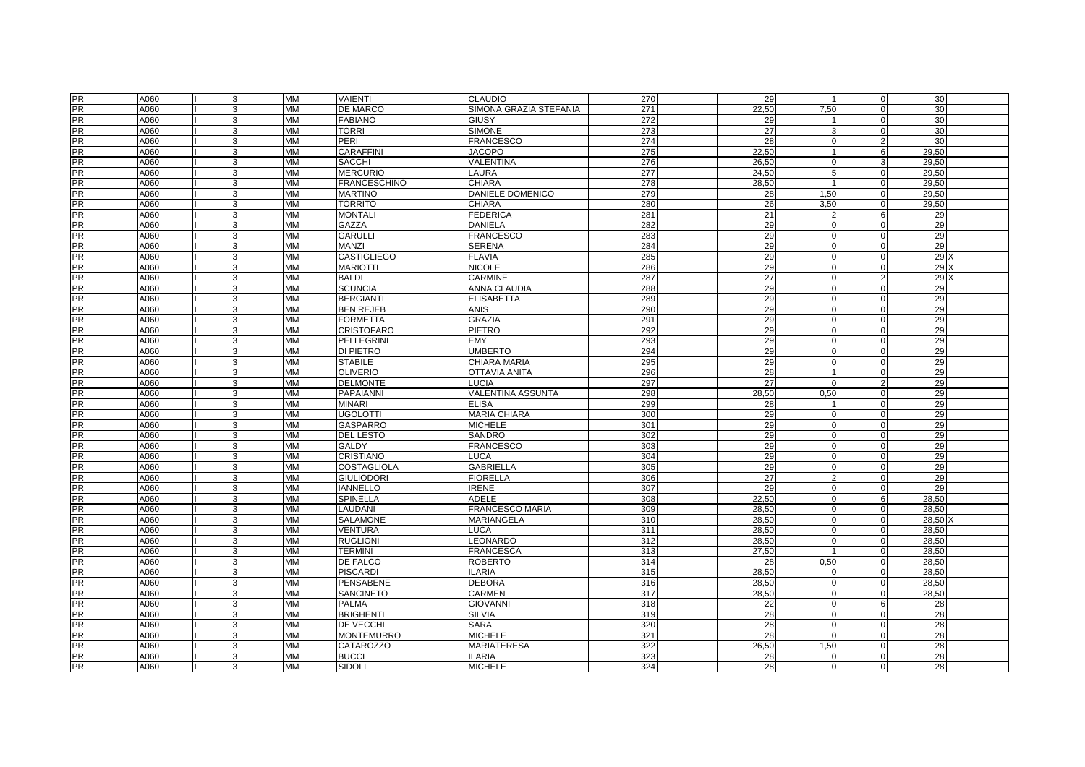| <b>PR</b>       | A060 |              | <b>MM</b>              | <b>VAIENTI</b>                      | <b>CLAUDIO</b>                | 270 | 29              | $\overline{\mathbf{1}}$ | $\mathbf 0$    | 30 <sup>1</sup>       |
|-----------------|------|--------------|------------------------|-------------------------------------|-------------------------------|-----|-----------------|-------------------------|----------------|-----------------------|
| <b>PR</b>       | A060 |              | <b>MM</b>              | DE MARCO                            | SIMONA GRAZIA STEFANIA        | 271 | 22,50           | 7,50                    | $\mathbf 0$    | 30                    |
| <b>PR</b>       | A060 |              | <b>MM</b>              | <b>FABIANO</b>                      | <b>GIUSY</b>                  | 272 | 29              |                         | $\mathbf 0$    | 30                    |
| <b>PR</b>       | A060 |              | <b>MM</b>              | <b>TORRI</b>                        | <b>SIMONE</b>                 | 273 | 27              | Я                       | $\mathbf 0$    | 30                    |
| <b>PR</b>       | A060 | з            | <b>MM</b>              | PERI                                | <b>FRANCESCO</b>              | 274 | 28              | $\Omega$                | 2              | 30                    |
| <b>PR</b>       | A060 |              | <b>MM</b>              | <b>CARAFFINI</b>                    | <b>JACOPO</b>                 | 275 | 22,50           |                         | 6              | 29,50                 |
| <b>PR</b>       | A060 |              | <b>MM</b>              | <b>SACCHI</b>                       | VALENTINA                     | 276 | 26,50           | $\mathbf C$             | $\sqrt{3}$     | 29,50                 |
| PR              | A060 |              | <b>MM</b>              | <b>MERCURIO</b>                     | LAURA                         | 277 | 24,50           | 5                       | $\mathbf 0$    | 29,50                 |
| <b>PR</b>       | A060 |              | <b>MM</b>              | <b>FRANCESCHINO</b>                 | <b>CHIARA</b>                 | 278 | 28.50           |                         | $\mathbf 0$    | 29.50                 |
| <b>PR</b>       | A060 |              | MM                     | <b>MARTINO</b>                      | DANIELE DOMENICO              | 279 | 28              | 1,50                    | $\mathbf 0$    | 29,50                 |
| PR              | A060 |              | <b>MM</b>              | <b>TORRITO</b>                      | <b>CHIARA</b>                 | 280 | 26              | 3,50                    | $\mathbf 0$    | 29,50                 |
| <b>PR</b>       | A060 | 3            | <b>MM</b>              | <b>MONTALI</b>                      | <b>FEDERICA</b>               | 281 | 21              | 2                       | 6              | 29                    |
| <b>PR</b>       | A060 |              | <b>MM</b>              | GAZZA                               | <b>DANIELA</b>                | 282 | 29              | $\sqrt{ }$              | $\mathbf 0$    | 29                    |
| PR              | A060 |              | <b>MM</b>              | <b>GARULLI</b>                      | <b>FRANCESCO</b>              | 283 | 29              | $\Omega$                | $\Omega$       | 29                    |
| <b>PR</b>       | A060 |              | <b>MM</b>              | <b>MANZI</b>                        | SERENA                        | 284 | 29              | $\Omega$                | $\mathbf 0$    | 29                    |
| <b>PR</b>       | A060 |              | MM                     | <b>CASTIGLIEGO</b>                  | <b>FLAVIA</b>                 | 285 | 29              | $\Omega$                | $\mathbf 0$    | 29 <sub>2</sub>       |
| <b>PR</b>       | A060 |              | <b>MM</b>              | <b>MARIOTTI</b>                     | <b>NICOLE</b>                 | 286 | 29              | $\Omega$                | $\Omega$       | 29X                   |
| <b>PR</b>       | A060 |              | <b>MM</b>              | <b>BALDI</b>                        | <b>CARMINE</b>                | 287 | 27              | $\Omega$                | $\overline{2}$ | 29X                   |
| PR              | A060 | $\mathbf{R}$ | <b>MM</b>              | <b>SCUNCIA</b>                      | ANNA CLAUDIA                  | 288 | 29              | $\Omega$                | $\mathbf 0$    | 29                    |
| <b>PR</b>       | A060 | 3            | <b>MM</b>              | <b>BERGIANTI</b>                    | <b>ELISABETTA</b>             | 289 | 29              | $\Omega$                | $\mathbf 0$    | 29                    |
| PR              | A060 |              | <b>MM</b>              | <b>BEN REJEB</b>                    | <b>ANIS</b>                   | 290 | 29              | $\sqrt{ }$              | $\Omega$       | 29                    |
| PR              | A060 |              | <b>MM</b>              | <b>FORMETTA</b>                     | <b>GRAZIA</b>                 | 291 | 29              | $\Omega$                | $\mathbf 0$    | 29                    |
| <b>PR</b>       | A060 | 3            | <b>MM</b>              | <b>CRISTOFARO</b>                   | <b>PIETRO</b>                 | 292 | 29              | $\Omega$                | $\Omega$       | 29                    |
| PR              | A060 |              | MM                     | PELLEGRINI                          | <b>EMY</b>                    | 293 | 29              | $\sqrt{ }$              | $\mathbf 0$    | 29                    |
| <b>PR</b>       | A060 |              | <b>MM</b>              | <b>DI PIETRO</b>                    | <b>UMBERTO</b>                | 294 | 29              | $\sqrt{ }$              | $\mathbf 0$    | 29                    |
| <b>PR</b>       | A060 |              | <b>MM</b>              | <b>STABILE</b>                      | CHIARA MARIA                  | 295 | 29              | $\Omega$                | $\Omega$       | 29                    |
| <b>PR</b>       | A060 |              | <b>MM</b>              | <b>OLIVERIO</b>                     | <b>OTTAVIA ANITA</b>          | 296 | 28              |                         | $\Omega$       | 29                    |
| <b>PR</b>       | A060 |              |                        |                                     | LUCIA                         | 297 | $\overline{27}$ | $\sqrt{ }$              | $\overline{2}$ | 29                    |
| <b>PR</b>       | A060 |              | <b>MM</b><br><b>MM</b> | <b>DELMONTE</b><br><b>PAPAIANNI</b> | VALENTINA ASSUNTA             | 298 | 28,50           | 0,50                    | $\mathbf 0$    | 29                    |
| PR              | A060 | 3            | <b>MM</b>              | <b>MINARI</b>                       | <b>ELISA</b>                  | 299 | 28              |                         | $\mathbf 0$    | 29                    |
| <b>PR</b>       | A060 |              | <b>MM</b>              | <b>UGOLOTTI</b>                     | MARIA CHIARA                  | 300 | 29              | $\sqrt{ }$              | $\mathbf 0$    | 29                    |
|                 | A060 |              | <b>MM</b>              | <b>GASPARRO</b>                     | <b>MICHELE</b>                | 301 | 29              | $\sqrt{ }$              | $\mathbf 0$    | 29                    |
| PR<br>PR        | A060 |              | <b>MM</b>              | <b>DEL LESTO</b>                    | SANDRO                        | 302 | 29              | $\sqrt{ }$              | $\mathbf 0$    | 29                    |
| <b>PR</b>       | A060 |              | <b>MM</b>              | GALDY                               | <b>FRANCESCO</b>              | 303 | 29              | $\Omega$                | $\mathbf 0$    | 29                    |
| PR              | A060 |              | <b>MM</b>              | <b>CRISTIANO</b>                    | <b>LUCA</b>                   | 304 | 29              | $\sqrt{ }$              | $\mathbf 0$    | 29                    |
| PR              | A060 |              | <b>MM</b>              | COSTAGLIOLA                         | <b>GABRIELLA</b>              | 305 | 29              | $\Omega$                | $\mathbf 0$    | 29                    |
| <b>PR</b>       | A060 | 3            | <b>MM</b>              | <b>GIULIODORI</b>                   | <b>FIORELLA</b>               | 306 | 27              | $\mathcal{P}$           | $\mathbf 0$    | 29                    |
| <b>PR</b>       | A060 |              | <b>MM</b>              | <b>IANNELLO</b>                     | <b>IRENE</b>                  | 307 | 29              | C                       | $\mathbf 0$    | 29                    |
| <b>PR</b>       | A060 |              | <b>MM</b>              | SPINELLA                            | <b>ADELE</b>                  | 308 | 22,50           | $\sqrt{ }$              | 6              | 28,50                 |
| <b>PR</b>       | A060 |              | <b>MM</b>              | LAUDANI                             |                               | 309 | 28,50           | $\Omega$                | $\mathbf 0$    | 28,50                 |
| <b>PR</b>       | A060 |              | MM                     | SALAMONE                            | FRANCESCO MARIA<br>MARIANGELA | 310 | 28,50           | $\Omega$                | $\mathbf 0$    | 28.50 <sup>&gt;</sup> |
| <b>PR</b>       | A060 |              | <b>MM</b>              | <b>VENTURA</b>                      | LUCA                          | 311 | 28,50           | $\sqrt{ }$              | $\mathbf 0$    | 28,50                 |
| <b>PR</b>       | A060 |              | <b>MM</b>              | <b>RUGLIONI</b>                     | LEONARDO                      | 312 | 28,50           | $\Omega$                | $\pmb{0}$      | 28,50                 |
| <b>PR</b>       | A060 | 3            | <b>MM</b>              |                                     |                               | 313 | 27,50           |                         | $\mathbf 0$    |                       |
| <b>PR</b>       |      |              |                        | <b>TERMINI</b>                      | <b>FRANCESCA</b>              |     |                 |                         |                | 28,50                 |
|                 | A060 |              | <b>MM</b>              | DE FALCO                            | ROBERTO                       | 314 | 28              | 0,50                    | $\mathbf 0$    | 28.50                 |
| <b>PR</b><br>PR | A060 |              | <b>MM</b>              | <b>PISCARDI</b>                     | LARIA                         | 315 | 28,50           | $\mathsf{C}$            | $\mathbf 0$    | 28,50                 |
| <b>PR</b>       | A060 |              | <b>MM</b>              | <b>PENSABENE</b>                    | <b>DEBORA</b>                 | 316 | 28,50           | $\Omega$                | $\mathbf 0$    | 28,50                 |
|                 | A060 |              | <b>MM</b>              | <b>SANCINETO</b>                    | CARMEN                        | 317 | 28.50           | $\Omega$                | $\mathbf 0$    | 28.50                 |
| PR              | A060 |              | <b>MM</b>              | <b>PALMA</b>                        | <b>GIOVANNI</b>               | 318 | 22              | $\sqrt{ }$              | 6              | 28                    |
| <b>PR</b>       | A060 | $\mathbf{R}$ | <b>MM</b>              | <b>BRIGHENTI</b>                    | <b>SILVIA</b>                 | 319 | 28              | $\Omega$                | $\mathbf 0$    | 28                    |
| <b>PR</b>       | A060 | 3            | <b>MM</b>              | DE VECCHI                           | <b>SARA</b>                   | 320 | 28              | $\Omega$                | $\mathbf 0$    | $\overline{28}$       |
| PR              | A060 | 3            | <b>MM</b>              | <b>MONTEMURRO</b>                   | <b>MICHELE</b>                | 321 | 28              | $\Omega$                | $\mathbf 0$    | 28                    |
| <b>PR</b>       | A060 |              | <b>MM</b>              | <b>CATAROZZO</b>                    | <b>MARIATERESA</b>            | 322 | 26,50           | 1,50                    | $\Omega$       | $\overline{28}$       |
| <b>PR</b>       | A060 |              | <b>MM</b>              | <b>BUCCI</b>                        | <b>ILARIA</b>                 | 323 | 28              | $\Omega$                | $\Omega$       | 28                    |
| PR              | A060 | 3            | <b>MM</b>              | <b>SIDOLI</b>                       | <b>MICHELE</b>                | 324 | 28              | $\Omega$                | $\Omega$       | 28                    |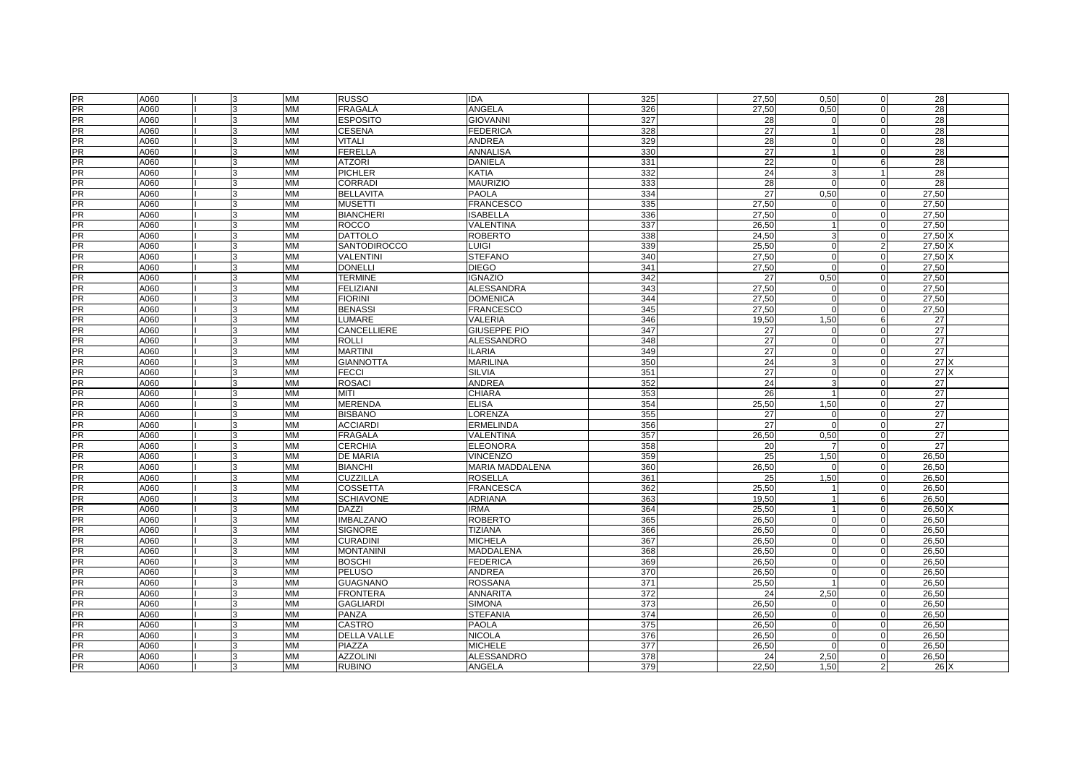| <b>PR</b>       | A060 | 3            | <b>MM</b> | <b>RUSSO</b>       | <b>IDA</b>             | 325              | 27,50           | 0,50        | $\mathbf 0$    | 28              |  |
|-----------------|------|--------------|-----------|--------------------|------------------------|------------------|-----------------|-------------|----------------|-----------------|--|
| <b>PR</b>       | A060 | 3            | MM        | FRAGALÁ            | ANGELA                 | 326              | 27,50           | 0,50        | $\Omega$       | 28              |  |
| $\frac{1}{PR}$  | A060 |              | <b>MM</b> | <b>ESPOSITO</b>    | <b>GIOVANNI</b>        | 327              | 28              |             | $\Omega$       | 28              |  |
|                 | A060 |              | MM        | <b>CESENA</b>      | <b>FEDERICA</b>        | 328              | 27              |             | $\Omega$       | 28              |  |
| PR<br>PR        | A060 | <b>R</b>     | <b>MM</b> | <b>VITALI</b>      | ANDREA                 | 329              | 28              | $\mathbf 0$ | $\Omega$       | 28              |  |
| PR              | A060 |              | <b>MM</b> | <b>FERELLA</b>     | <b>ANNALISA</b>        | 330              | 27              |             | $\Omega$       | 28              |  |
|                 | A060 |              | MM        | <b>ATZORI</b>      | <b>DANIELA</b>         | 331              | 22              | $\mathbf 0$ | 6              | 28              |  |
| PR<br>PR        | A060 | <b>R</b>     | MM        | <b>PICHLER</b>     | <b>KATIA</b>           | 332              | 24              | -3          | $\overline{1}$ | 28              |  |
| <b>PR</b>       | A060 |              | <b>MM</b> | <b>CORRADI</b>     | <b>MAURIZIO</b>        | 333              | 28              | $\Omega$    | $\Omega$       | 28              |  |
| PR              | A060 |              | <b>MM</b> | <b>BELLAVITA</b>   | <b>PAOLA</b>           | 334              | 27              | 0,50        | $\Omega$       | 27,50           |  |
| <b>PR</b>       | A060 |              | <b>MM</b> | <b>MUSETTI</b>     | <b>FRANCESCO</b>       | 335              | 27,50           | $\Omega$    | $\Omega$       | 27,50           |  |
| <b>PR</b>       | A060 | 3            | MM        | <b>BIANCHERI</b>   | <b>ISABELLA</b>        | 336              | 27,50           | $\mathbf 0$ | $\Omega$       | 27,50           |  |
| <b>PR</b>       | A060 |              | MM        | ROCCO              | VALENTINA              | 337              | 26,50           |             | $\Omega$       | 27,50           |  |
| PR              | A060 |              | <b>MM</b> | <b>DATTOLO</b>     | ROBERTO                | 338              | 24,50           | 3           | $\Omega$       | 27,50 X         |  |
| <b>PR</b>       | A060 | <b>R</b>     | MM        | SANTODIROCCO       | LUIGI                  | 339              | 25,50           | $\mathbf 0$ | $\overline{2}$ | 27,50 X         |  |
| <b>PR</b>       | A060 | l3           | MM        | VALENTINI          | <b>STEFANO</b>         | 340              | 27,50           | $\mathbf 0$ | $\Omega$       | 27,50 X         |  |
| <b>PR</b>       | A060 |              | <b>MM</b> | <b>DONELLI</b>     | <b>DIEGO</b>           | 341              | 27,50           | $\Omega$    | $\Omega$       | 27,50           |  |
| PR <sub></sub>  | A060 | 3            | <b>MM</b> | <b>TERMINE</b>     | <b>IGNAZIO</b>         | 342              | 27              | 0,50        | $\Omega$       | 27.50           |  |
| <b>PR</b>       | A060 | $\mathbf{R}$ | <b>MM</b> | <b>FELIZIANI</b>   | <b>ALESSANDRA</b>      | 343              | 27,50           | $\Omega$    | $\Omega$       | 27,50           |  |
| $\overline{PR}$ | A060 | 3            | MM        | <b>FIORINI</b>     | <b>DOMENICA</b>        | 344              | 27,50           | $\mathbf 0$ | $\Omega$       | 27,50           |  |
| PR              | A060 |              | <b>MM</b> | <b>BENASSI</b>     | <b>FRANCESCO</b>       | 345              | 27,50           | $\Omega$    | $\Omega$       | 27,50           |  |
| PR              | A060 |              | <b>MM</b> | LUMARE             | VALERIA                | 346              | 19,50           | 1,50        | 6              | $\overline{27}$ |  |
| <b>PR</b>       | A060 | 3            | <b>MM</b> | <b>CANCELLIERE</b> | <b>GIUSEPPE PIO</b>    | 347              | 27              | $\mathbf 0$ | $\Omega$       | 27              |  |
| PR              | A060 |              | MM        | <b>ROLLI</b>       | <b>ALESSANDRO</b>      | 348              | $\overline{27}$ | $\Omega$    | $\Omega$       | 27              |  |
| <b>PR</b>       | A060 |              | <b>MM</b> | <b>MARTINI</b>     | <b>ILARIA</b>          | 349              | $\overline{27}$ | $\Omega$    | $\Omega$       | 27              |  |
| <b>PR</b>       | A060 | <b>R</b>     | <b>MM</b> | <b>GIANNOTTA</b>   | <b>MARILINA</b>        | 350              | 24              | 3           | $\Omega$       | 27X             |  |
| <b>PR</b>       | A060 | 3            | <b>MM</b> | <b>FECCI</b>       | <b>SILVIA</b>          | 351              | 27              | $\Omega$    | $\Omega$       | 27X             |  |
| PR              | A060 |              | <b>MM</b> | <b>ROSACI</b>      | <b>ANDREA</b>          | 352              | 24              | 3           | $\Omega$       | 27              |  |
| <b>PR</b>       | A060 |              | <b>MM</b> | MITI               | <b>CHIARA</b>          | 353              | 26              |             | $\mathbf 0$    | 27              |  |
| <b>PR</b>       | A060 | l3           | MM        | <b>MERENDA</b>     | <b>ELISA</b>           | 354              | 25,50           | 1,50        | $\Omega$       | 27              |  |
| <b>PR</b>       | A060 |              | <b>MM</b> | <b>BISBANO</b>     | LORENZA                | 355              | 27              | $\Omega$    | $\Omega$       | 27              |  |
|                 | A060 |              | <b>MM</b> | <b>ACCIARDI</b>    | <b>ERMELINDA</b>       | 356              | 27              | $\Omega$    | $\Omega$       | 27              |  |
| PR<br>PR        | A060 | l3           | MM        | <b>FRAGALA</b>     | VALENTINA              | 357              | 26,50           | 0,50        | $\mathbf 0$    | 27              |  |
| <b>PR</b>       | A060 | 3            | MM        | <b>CERCHIA</b>     | <b>ELEONORA</b>        | 358              | 20              |             | $\Omega$       | 27              |  |
| <b>PR</b>       | A060 |              | <b>MM</b> | DE MARIA           | <b>VINCENZO</b>        | 359              | 25              | 1,50        | $\Omega$       | 26,50           |  |
| PR              | A060 |              | MM        | <b>BIANCHI</b>     | <b>MARIA MADDALENA</b> | 360              | 26,50           | $\mathbf 0$ | $\Omega$       | 26,50           |  |
| <b>PR</b>       | A060 | 3            | MM        | <b>CUZZILLA</b>    | <b>ROSELLA</b>         | 361              | 25              | 1,50        | $\mathbf 0$    | 26,50           |  |
| PR              | A060 |              | <b>MM</b> | <b>COSSETTA</b>    | <b>FRANCESCA</b>       | 362              | 25,50           |             | $\mathbf 0$    | 26,50           |  |
| <b>PR</b>       | A060 |              | <b>MM</b> | <b>SCHIAVONE</b>   | <b>ADRIANA</b>         | 363              | 19,50           |             | 6              | 26,50           |  |
| PR              | A060 | <b>R</b>     | MM        | <b>DAZZI</b>       | <b>IRMA</b>            | 364              | 25,50           |             | $\Omega$       | 26,50 X         |  |
|                 | A060 | 3            | MM        | <b>IMBALZANO</b>   | <b>ROBERTO</b>         | 365              | 26,50           | $\mathbf 0$ | $\Omega$       | 26,50           |  |
| PR<br>PR        | A060 |              | <b>MM</b> | <b>SIGNORE</b>     | <b>TIZIANA</b>         | 366              | 26,50           | $\Omega$    | $\Omega$       | 26,50           |  |
| PR              | A060 |              | MM        | <b>CURADINI</b>    | <b>MICHELA</b>         | 367              | 26,50           | $\mathbf 0$ | $\Omega$       | 26,50           |  |
| $\frac{1}{PR}$  | A060 | 3            | <b>MM</b> | <b>MONTANIN</b>    | MADDALENA              | 368              | 26,50           | $\mathbf 0$ | $\Omega$       | 26,50           |  |
| <b>PR</b>       | A060 |              | <b>MM</b> | <b>BOSCHI</b>      | <b>FEDERICA</b>        | 369              | 26.50           | $\mathbf 0$ | $\Omega$       | 26,50           |  |
| PR<br>PR        | A060 |              | <b>MM</b> | PELUSO             | <b>ANDREA</b>          | 370              | 26,50           | $\Omega$    | $\Omega$       | 26,50           |  |
|                 | A060 |              | MM        | <b>GUAGNANO</b>    | <b>ROSSANA</b>         | 371              | 25,50           |             | $\mathbf 0$    | 26,50           |  |
| <b>PR</b>       | A060 |              | <b>MM</b> | <b>FRONTERA</b>    | <b>ANNARITA</b>        | 372              | 24              | 2.50        | $\Omega$       | 26.50           |  |
| PR              | A060 |              | <b>MM</b> | <b>GAGLIARDI</b>   | <b>SIMONA</b>          | 373              | 26,50           | $\Omega$    | $\Omega$       | 26,50           |  |
| $\frac{1}{PR}$  | A060 | 3            | <b>MM</b> | PANZA              | <b>STEFANIA</b>        | 374              | 26.50           | $\mathbf 0$ | $\Omega$       | 26.50           |  |
| <b>PR</b>       | A060 | 3            | <b>MM</b> | <b>CASTRO</b>      | <b>PAOLA</b>           | 375              | 26.50           | $\mathbf 0$ | $\Omega$       | 26,50           |  |
| PR              | A060 | 3            | <b>MM</b> | <b>DELLA VALLE</b> | <b>NICOLA</b>          | 376              | 26,50           | $\Omega$    | $\Omega$       | 26,50           |  |
| <b>PR</b>       | A060 |              | <b>MM</b> | PIAZZA             | <b>MICHELE</b>         | $\overline{377}$ | 26,50           | $\Omega$    | $\Omega$       | 26,50           |  |
| <b>PR</b>       | A060 | $\mathbf{R}$ | <b>MM</b> | <b>AZZOLINI</b>    | <b>ALESSANDRO</b>      | 378              | 24              | 2.50        | $\mathbf 0$    | 26.50           |  |
| PR              | A060 | 3            | <b>MM</b> | <b>RUBINO</b>      | <b>ANGELA</b>          | 379              | 22.50           | 1.50        | $\mathcal{P}$  | 26X             |  |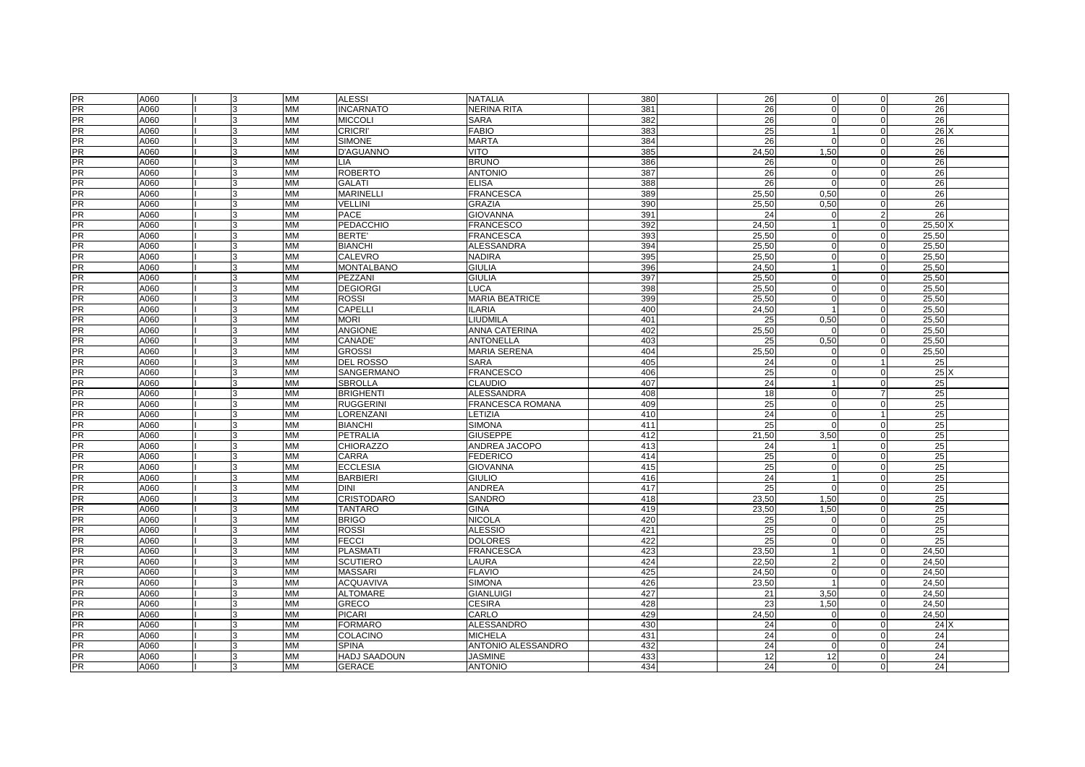| <b>PR</b> | A060 |              | <b>MM</b> | <b>ALESSI</b>       | <b>NATALIA</b>        | 380 | 26    | $\mathbf 0$          | 0              | 26              |  |
|-----------|------|--------------|-----------|---------------------|-----------------------|-----|-------|----------------------|----------------|-----------------|--|
| <b>PR</b> | A060 |              | <b>MM</b> | <b>INCARNATO</b>    | <b>NERINA RITA</b>    | 381 | 26    | $\Omega$             | $\Omega$       | 26              |  |
| <b>PR</b> | A060 |              | <b>MM</b> | <b>MICCOLI</b>      | <b>SARA</b>           | 382 | 26    | U                    | $\Omega$       | 26              |  |
| <b>PR</b> | A060 |              | <b>MM</b> | <b>CRICRI'</b>      | <b>FABIO</b>          | 383 | 25    | $\blacktriangleleft$ | $\mathbf 0$    | 26              |  |
| <b>PR</b> | A060 | 3            | <b>MM</b> | <b>SIMONE</b>       | <b>MARTA</b>          | 384 | 26    | $\Omega$             | $\Omega$       | 26              |  |
| <b>PR</b> | A060 |              | <b>MM</b> | D'AGUANNO           | <b>VITO</b>           | 385 | 24,50 | 1,50                 | $\mathbf 0$    | 26              |  |
| PR        | A060 |              | MM        | LIA                 | <b>BRUNO</b>          | 386 | 26    |                      | $\mathbf 0$    | 26              |  |
| PR        | A060 |              | <b>MM</b> | <b>ROBERTO</b>      | <b>ANTONIO</b>        | 387 | 26    | $\Omega$             | $\Omega$       | 26              |  |
| <b>PR</b> | A060 |              | <b>MM</b> | <b>GALATI</b>       | <b>ELISA</b>          | 388 | 26    | $\Omega$             | $\mathbf 0$    | 26              |  |
| <b>PR</b> | A060 |              | <b>MM</b> | <b>MARINELLI</b>    | <b>FRANCESCA</b>      | 389 | 25,50 | 0,50                 | $\Omega$       | 26              |  |
| PR        | A060 |              | <b>MM</b> | <b>VELLINI</b>      | GRAZIA                | 390 | 25,50 | 0,50                 | $\Omega$       | 26              |  |
| <b>PR</b> | A060 | 3            | <b>MM</b> | <b>PACE</b>         | <b>GIOVANNA</b>       | 391 | 24    | $\Omega$             | $\overline{2}$ | 26              |  |
| <b>PR</b> | A060 |              | <b>MM</b> | PEDACCHIO           | <b>FRANCESCO</b>      | 392 | 24,50 |                      | $\Omega$       | $25,50$ )       |  |
| <b>PR</b> | A060 |              | <b>MM</b> | <b>BERTE'</b>       | <b>FRANCESCA</b>      | 393 | 25,50 | $\Omega$             | $\Omega$       | 25,50           |  |
| <b>PR</b> | A060 |              | <b>MM</b> | <b>BIANCHI</b>      | <b>ALESSANDRA</b>     | 394 | 25,50 | $\Omega$             | $\mathbf 0$    | 25,50           |  |
| <b>PR</b> | A060 |              | <b>MM</b> | CALEVRO             | <b>NADIRA</b>         | 395 | 25,50 | $\Omega$             | $\mathbf 0$    | 25,50           |  |
| <b>PR</b> | A060 |              | <b>MM</b> | <b>MONTALBANO</b>   | <b>GIULIA</b>         | 396 | 24,50 |                      | $\mathbf 0$    | 25,50           |  |
| <b>PR</b> | A060 |              | <b>MM</b> | PEZZANI             | <b>GIULIA</b>         | 397 | 25,50 | $\Omega$             | $\mathbf 0$    | 25,50           |  |
| PR        | A060 | $\mathbf{R}$ | <b>MM</b> | <b>DEGIORGI</b>     | LUCA                  | 398 | 25,50 | $\Omega$             | $\mathbf 0$    | 25,50           |  |
| <b>PR</b> | A060 | 3            | <b>MM</b> | <b>ROSSI</b>        | <b>MARIA BEATRICE</b> | 399 | 25,50 | $\Omega$             | $\mathbf 0$    | 25,50           |  |
| <b>PR</b> | A060 |              | <b>MM</b> | <b>CAPELLI</b>      | <b>LARIA</b>          | 400 | 24,50 |                      | $\mathbf 0$    | 25,50           |  |
| <b>PR</b> | A060 |              | <b>MM</b> | <b>MORI</b>         | LIUDMILA              | 401 | 25    | 0.50                 | $\mathbf 0$    | 25,50           |  |
| <b>PR</b> | A060 | 3            | <b>MM</b> | <b>ANGIONE</b>      | ANNA CATERINA         | 402 | 25,50 | $\Omega$             | $\mathbf 0$    | 25,50           |  |
| <b>PR</b> | A060 |              | <b>MM</b> | CANADE'             | <b>ANTONELLA</b>      | 403 | 25    | 0.50                 | $\mathbf 0$    | 25,50           |  |
| <b>PR</b> | A060 |              | <b>MM</b> | <b>GROSSI</b>       | <b>MARIA SERENA</b>   | 404 | 25,50 | $\Omega$             | $\Omega$       | 25,50           |  |
| <b>PR</b> | A060 |              | <b>MM</b> | <b>DEL ROSSO</b>    | <b>SARA</b>           | 405 | 24    | $\Omega$             | $\overline{1}$ | 25              |  |
| <b>PR</b> | A060 | 3            | <b>MM</b> | SANGERMANO          | <b>FRANCESCO</b>      | 406 | 25    | $\Omega$             | $\Omega$       | 25              |  |
| PR        | A060 |              | <b>MM</b> | <b>SBROLLA</b>      | <b>CLAUDIO</b>        | 407 | 24    |                      | $\Omega$       | 25              |  |
| <b>PR</b> | A060 |              | <b>MM</b> | <b>BRIGHENTI</b>    | <b>ALESSANDRA</b>     | 408 | 18    | $\Omega$             | 7              | 25              |  |
| PR        | A060 | 3            | <b>MM</b> | <b>RUGGERIN</b>     | FRANCESCA ROMANA      | 409 | 25    | $\Omega$             | 0              | 25              |  |
| <b>PR</b> | A060 |              | <b>MM</b> | LORENZANI           | LETIZIA               | 410 | 24    |                      |                | 25              |  |
|           | A060 |              | <b>MM</b> | <b>BIANCHI</b>      | <b>SIMONA</b>         | 411 | 25    | $\Omega$             | $\Omega$       | 25              |  |
| PR<br>PR  | A060 | 3            | <b>MM</b> | PETRALIA            | <b>GIUSEPPE</b>       | 412 | 21,50 | 3,50                 | 0              | 25              |  |
| <b>PR</b> | A060 |              | <b>MM</b> | <b>CHIORAZZO</b>    | ANDREA JACOPO         | 413 | 24    |                      | $\mathbf 0$    | 25              |  |
| PR        | A060 |              | <b>MM</b> | CARRA               | <b>FEDERICO</b>       | 414 | 25    | O                    | $\mathbf 0$    | 25              |  |
| <b>PR</b> | A060 |              | <b>MM</b> | <b>ECCLESIA</b>     | <b>GIOVANNA</b>       | 415 | 25    | $\mathbf 0$          | $\mathbf 0$    | 25              |  |
| <b>PR</b> | A060 | 3            | MM        | <b>BARBIERI</b>     | <b>GIULIO</b>         | 416 | 24    | $\overline{1}$       | $\mathbf 0$    | 25              |  |
| <b>PR</b> | A060 |              | <b>MM</b> | <b>DINI</b>         | <b>ANDREA</b>         | 417 | 25    | $\Omega$             | $\Omega$       | 25              |  |
| <b>PR</b> | A060 |              | <b>MM</b> | <b>CRISTODARO</b>   | SANDRO                | 418 | 23,50 | 1,50                 | $\Omega$       | 25              |  |
| <b>PR</b> | A060 |              | <b>MM</b> | <b>TANTARO</b>      | <b>GINA</b>           | 419 | 23,50 | 1,50                 | $\mathbf 0$    | 25              |  |
| <b>PR</b> | A060 |              | <b>MM</b> | <b>BRIGO</b>        | <b>NICOLA</b>         | 420 | 25    | $\Omega$             | $\Omega$       | 25              |  |
| <b>PR</b> | A060 |              | <b>MM</b> | <b>ROSSI</b>        | <b>ALESSIO</b>        | 421 | 25    | $\Omega$             | $\Omega$       | 25              |  |
| <b>PR</b> | A060 |              | <b>MM</b> | <b>FECCI</b>        | <b>DOLORES</b>        | 422 | 25    | $\Omega$             | $\mathbf 0$    | 25              |  |
| <b>PR</b> | A060 | 3            | <b>MM</b> | <b>PLASMATI</b>     | <b>FRANCESCA</b>      | 423 | 23,50 | $\overline{1}$       | $\mathbf 0$    | 24,50           |  |
| PR        | A060 |              | <b>MM</b> | <b>SCUTIERO</b>     | LAURA                 | 424 | 22.50 | $\mathfrak{p}$       | $\Omega$       | 24,50           |  |
| <b>PR</b> | A060 |              | <b>MM</b> | <b>MASSARI</b>      | <b>FLAVIO</b>         | 425 | 24,50 | $\Omega$             | $\mathbf 0$    | 24,50           |  |
| PR        | A060 |              | <b>MM</b> | <b>ACQUAVIVA</b>    | <b>SIMONA</b>         | 426 | 23,50 | $\overline{1}$       | $\mathbf 0$    | 24,50           |  |
| <b>PR</b> | A060 |              | <b>MM</b> | <b>ALTOMARE</b>     | <b>GIANLUIGI</b>      | 427 | 21    | 3.50                 | $\mathbf 0$    | 24.50           |  |
| <b>PR</b> | A060 |              | <b>MM</b> | <b>GRECO</b>        | CESIRA                | 428 | 23    | 1,50                 | $\mathbf 0$    | 24,50           |  |
| PR        | A060 | 3            | <b>MM</b> | <b>PICARI</b>       | CARLO                 | 429 | 24.50 | $\Omega$             | $\mathbf 0$    | 24,50           |  |
| <b>PR</b> | A060 | 3            | <b>MM</b> | <b>FORMARO</b>      | <b>ALESSANDRO</b>     | 430 | 24    | $\Omega$             | $\mathbf 0$    | 24X             |  |
| PR        | A060 | 3            | <b>MM</b> | COLACINO            | MICHELA               | 431 | 24    | $\Omega$             | $\Omega$       | 24              |  |
| <b>PR</b> | A060 |              | <b>MM</b> | <b>SPINA</b>        | ANTONIO ALESSANDRO    | 432 | 24    |                      | $\Omega$       | $\overline{24}$ |  |
| PR        | A060 |              | <b>MM</b> | <b>HADJ SAADOUN</b> | <b>JASMINE</b>        | 433 | 12    | 12                   | $\mathbf 0$    | 24              |  |
| PR        | A060 | 3            | <b>MM</b> | <b>GERACE</b>       | <b>ANTONIO</b>        | 434 | 24    | $\Omega$             | $\Omega$       | 24              |  |
|           |      |              |           |                     |                       |     |       |                      |                |                 |  |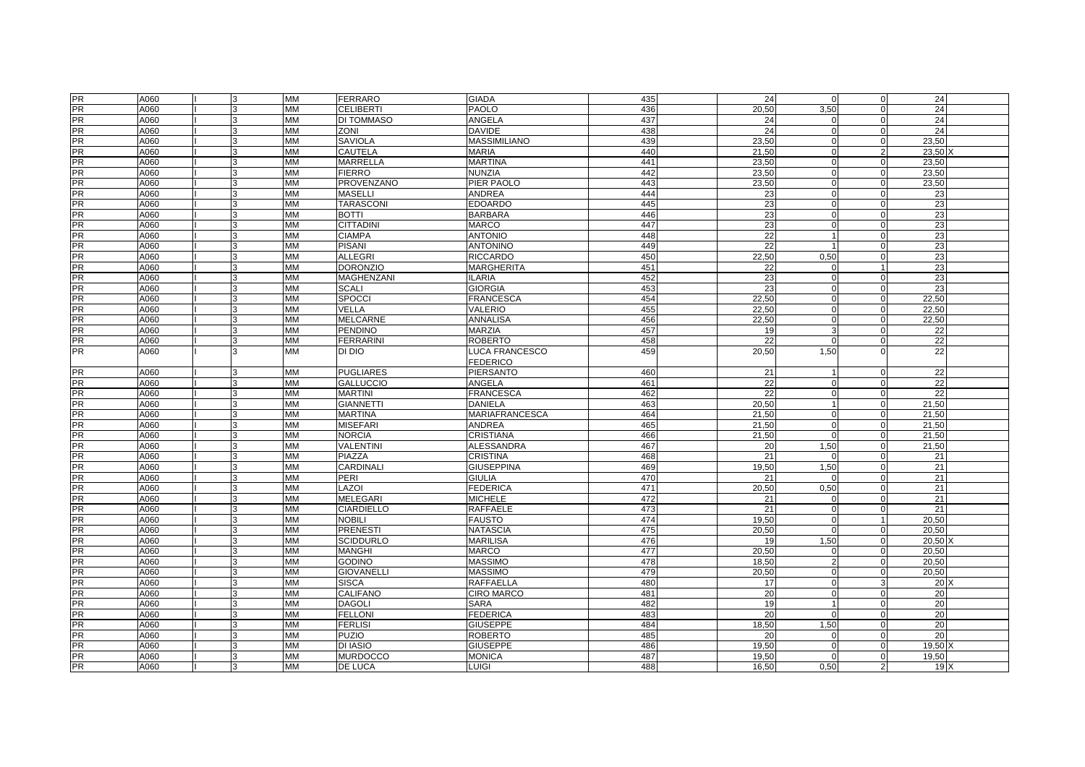| <b>PR</b>              | A060         |              | <b>MM</b>              | <b>FERRARO</b>            | <b>GIADA</b>                       | 435        | 24       | $\Omega$             | 0                       | 24              |  |
|------------------------|--------------|--------------|------------------------|---------------------------|------------------------------------|------------|----------|----------------------|-------------------------|-----------------|--|
| $\frac{1}{PR}$         | A060         |              | <b>MM</b>              | <b>CELIBERTI</b>          | <b>PAOLO</b>                       | 436        | 20,50    | 3,50                 | $\Omega$                | 24              |  |
| PR                     | A060         |              | <b>MM</b>              | DI TOMMASO                | ANGELA                             | 437        | 24       |                      | $\Omega$                | 24              |  |
| <b>PR</b>              | A060         |              | <b>MM</b>              | <b>ZONI</b>               | <b>DAVIDE</b>                      | 438        | 24       | $\Omega$             | $\mathbf 0$             | 24              |  |
| $\frac{1}{PR}$         | A060         |              | <b>MM</b>              | <b>SAVIOLA</b>            | <b>MASSIMILIANO</b>                | 439        | 23,50    | $\Omega$             | $\mathbf 0$             | 23,50           |  |
| PR                     | A060         |              | <b>MM</b>              | CAUTELA                   | <b>MARIA</b>                       | 440        | 21.50    | $\Omega$             | $\overline{2}$          | 23,50           |  |
| PR                     | A060         |              | <b>MM</b>              | <b>MARRELLA</b>           | <b>MARTINA</b>                     | 441        | 23,50    | $\Omega$             | $\mathbf 0$             | 23,50           |  |
| PR                     | A060         |              | <b>MM</b>              | <b>FIERRO</b>             | NUNZIA                             | 442        | 23,50    | $\Omega$             | $\mathbf 0$             | 23,50           |  |
| <b>PR</b>              | A060         |              | <b>MM</b>              | <b>PROVENZANO</b>         | PIER PAOLO                         | 443        | 23.50    | $\Omega$             | $\mathbf 0$             | 23,50           |  |
| PR                     | A060         |              | <b>MM</b>              | MASELLI                   | ANDREA                             | 444        | 23       | $\Omega$             | $\mathbf 0$             | 23              |  |
| PR                     | A060         |              | <b>MM</b>              | <b>TARASCONI</b>          | <b>EDOARDO</b>                     | 445        | 23       | $\Omega$             | $\mathbf 0$             | 23              |  |
| $\frac{1}{PR}$         | A060         | 3            | <b>MM</b>              | <b>BOTTI</b>              | <b>BARBARA</b>                     | 446        | 23       | $\Omega$             | $\Omega$                | 23              |  |
| <b>PR</b>              | A060         |              | <b>MM</b>              | <b>CITTADINI</b>          | <b>MARCO</b>                       | 447        | 23       | $\Omega$             | $\Omega$                | 23              |  |
| $\frac{PR}{PR}$        | A060         |              | <b>MM</b>              | <b>CIAMPA</b>             | <b>ANTONIO</b>                     | 448        | 22       |                      | $\Omega$                | 23              |  |
|                        | A060         |              | MM                     | <b>PISANI</b>             | <b>ANTONINO</b>                    | 449        | 22       |                      | 0                       | 23              |  |
| PR                     | A060         |              | <b>MM</b>              | ALLEGRI                   | <b>RICCARDO</b>                    | 450        | 22,50    | 0,50                 | $\mathbf 0$             | 23              |  |
| <b>PR</b>              | A060         |              | <b>MM</b>              | <b>DORONZIO</b>           | MARGHERITA                         | 451        | 22       | n                    |                         | 23              |  |
| PR                     | A060         |              | <b>MM</b>              | MAGHENZANI                | <b>ILARIA</b>                      | 452        | 23       | $\Omega$             | $\mathbf 0$             | 23              |  |
| <b>PR</b>              | A060         |              | <b>MM</b>              | <b>SCALI</b>              | <b>GIORGIA</b>                     | 453        | 23       | $\Omega$             | $\Omega$                | 23              |  |
| <b>PR</b>              | A060         |              | <b>MM</b>              | <b>SPOCCI</b>             | <b>FRANCESCA</b>                   | 454        | 22,50    | U                    | $\Omega$                | 22,50           |  |
| PR<br>PR               | A060         |              | <b>MM</b>              | VELLA                     | VALERIO                            | 455        | 22.50    | $\Omega$             | $\mathbf 0$             | 22,50           |  |
|                        | A060         | <b>R</b>     | <b>MM</b>              | <b>MELCARNE</b>           | <b>ANNALISA</b>                    | 456        | 22,50    | $\Omega$             | $\mathbf 0$             | 22,50           |  |
| <b>PR</b>              | A060         | 3            | <b>MM</b>              | <b>PENDINO</b>            | <b>MARZIA</b>                      | 457        | 19       | 3                    | $\mathbf 0$             | 22              |  |
| PR                     | A060         |              | <b>MM</b>              | <b>FERRARINI</b>          | <b>ROBERTO</b>                     | 458        | 22       |                      | $\mathbf 0$             | 22              |  |
| <b>PR</b>              | A060         | $\mathbf{R}$ | <b>MM</b>              | DI DIO                    | LUCA FRANCESCO<br><b>FEDERICO</b>  | 459        | 20,50    | 1,50                 |                         | $\overline{22}$ |  |
| <b>PR</b>              | A060         |              | <b>MM</b>              | <b>PUGLIARES</b>          | PIERSANTO                          | 460        | 21       |                      | $\Omega$                | 22              |  |
| PR                     | A060         |              | <b>MM</b>              | <b>GALLUCCIO</b>          | ANGELA                             | 461        | 22       | $\Omega$             | $\Omega$                | 22              |  |
| <b>PR</b>              | A060         |              | MM                     | <b>MARTINI</b>            | <b>FRANCESCA</b>                   | 462        | 22       | $\Omega$             | 0                       | $\overline{22}$ |  |
| <b>PR</b>              | A060         |              | <b>MM</b>              | <b>GIANNETTI</b>          | DANIELA                            | 463        | 20,50    |                      | $\Omega$                | 21,50           |  |
| <b>PR</b>              | A060         |              | <b>MM</b>              | <b>MARTINA</b>            | MARIAFRANCESCA                     | 464        | 21,50    | $\Omega$             | $\mathbf 0$             | 21,50           |  |
| PR                     | A060         |              | <b>MM</b>              | <b>MISEFARI</b>           | <b>ANDREA</b>                      | 465        | 21,50    | $\mathbf 0$          | $\mathbf 0$             | 21,50           |  |
| $\frac{1}{PR}$         | A060         | 3            | <b>MM</b>              | <b>NORCIA</b>             | CRISTIANA                          | 466        | 21,50    | $\Omega$             | $\mathbf 0$             | 21,50           |  |
| <b>PR</b>              | A060         |              | <b>MM</b>              | <b>VALENTINI</b>          | ALESSANDRA                         | 467        | 20       | 1,50                 | $\mathbf 0$             | 21,50           |  |
| <b>PR</b>              | A060         |              | <b>MM</b>              | PIAZZA                    | CRISTINA                           | 468        | 21       |                      | $\mathbf 0$             | 21              |  |
| <b>PR</b>              | A060         | 3            | <b>MM</b>              | CARDINALI                 | <b>GIUSEPPINA</b>                  | 469        | 19,50    | 1,50                 | $\mathbf 0$             | 21              |  |
| PR                     | A060         | 3            | <b>MM</b>              | PERI                      | <b>GIULIA</b>                      | 470        | 21       | ∩                    | $\mathbf 0$             | 21              |  |
| PR                     | A060         |              | <b>MM</b>              | LAZOI                     | <b>FEDERICA</b>                    | 471        | 20,50    | 0,50                 | $\mathbf 0$             | 21              |  |
| PR                     | A060         |              | <b>MM</b>              | <b>MELEGARI</b>           | <b>MICHELE</b>                     | 472        | 21       | $\Omega$             | $\Omega$                | 21              |  |
| <b>PR</b>              | A060         | 3            | <b>MM</b>              | <b>CIARDIELLO</b>         | <b>RAFFAELE</b>                    | 473        | 21       | $\Omega$             | $\mathbf 0$             | 21              |  |
| <b>PR</b>              | A060         |              | <b>MM</b>              | <b>NOBILI</b>             | <b>FAUSTO</b>                      | 474        | 19.50    | $\Omega$             | $\overline{1}$          | 20,50           |  |
| <b>PR</b>              | A060         |              | <b>MM</b>              | <b>PRENESTI</b>           | <b>NATASCIA</b>                    | 475        | 20,50    | $\Omega$             | $\mathbf 0$             | 20,50           |  |
| <b>PR</b>              | A060         |              | <b>MM</b>              | <b>SCIDDURLO</b>          | MARILISA                           | 476        | 19       | 1,50                 | 0                       | $20,50$ )       |  |
| PR                     | A060         |              | <b>MM</b>              | <b>MANGHI</b>             | MARCO                              | 477        | 20,50    | n                    | $\Omega$                | 20,50           |  |
| PR<br>PR               | A060         |              | <b>MM</b>              | <b>GODINO</b>             | <b>MASSIMO</b>                     | 478        | 18,50    | $\mathfrak{p}$       | 0                       | 20,50           |  |
| $\frac{1}{PR}$         | A060         |              | <b>MM</b>              | <b>GIOVANELLI</b>         | <b>MASSIMO</b>                     | 479        | 20,50    | $\Omega$             | $\mathbf 0$             | 20,50           |  |
| PR                     | A060         |              | <b>MM</b>              | <b>SISCA</b>              | <b>RAFFAELLA</b>                   | 480        | 17       | $\Omega$<br>$\Omega$ | -3                      | 20              |  |
|                        | A060<br>A060 |              | <b>MM</b><br><b>MM</b> | CALIFANO<br><b>DAGOLI</b> | <b>CIRO MARCO</b><br><b>SARA</b>   | 481<br>482 | 20<br>19 | 1                    | $\mathbf 0$             | 20<br>20        |  |
| <b>PR</b><br><b>PR</b> | A060         | $\mathbf{R}$ | <b>MM</b>              | <b>FELLON</b>             |                                    | 483        | 20       | $\Omega$             | $\mathbf 0$<br>$\Omega$ | 20              |  |
| PR                     | A060         | 3            | <b>MM</b>              | <b>FERLISI</b>            | <b>FEDERICA</b><br><b>GIUSEPPE</b> | 484        | 18,50    | 1,50                 | $\mathbf 0$             | 20              |  |
| PR                     | A060         |              | <b>MM</b>              | <b>PUZIO</b>              | <b>ROBERTO</b>                     | 485        | 20       | $\Omega$             | 0                       | 20              |  |
| PR                     | A060         |              | <b>MM</b>              | DI IASIO                  | <b>GIUSEPPE</b>                    | 486        | 19,50    | $\Omega$             | $\Omega$                | 19,50 >         |  |
| <b>PR</b>              | A060         | 3            | <b>MM</b>              | <b>MURDOCCO</b>           | <b>MONICA</b>                      | 487        | 19.50    | $\Omega$             | $\mathbf 0$             | 19,50           |  |
| PR                     | A060         |              | <b>MM</b>              | DE LUCA                   | LUIGI                              | 488        | 16.50    | 0,50                 | $\overline{2}$          | 19X             |  |
|                        |              |              |                        |                           |                                    |            |          |                      |                         |                 |  |